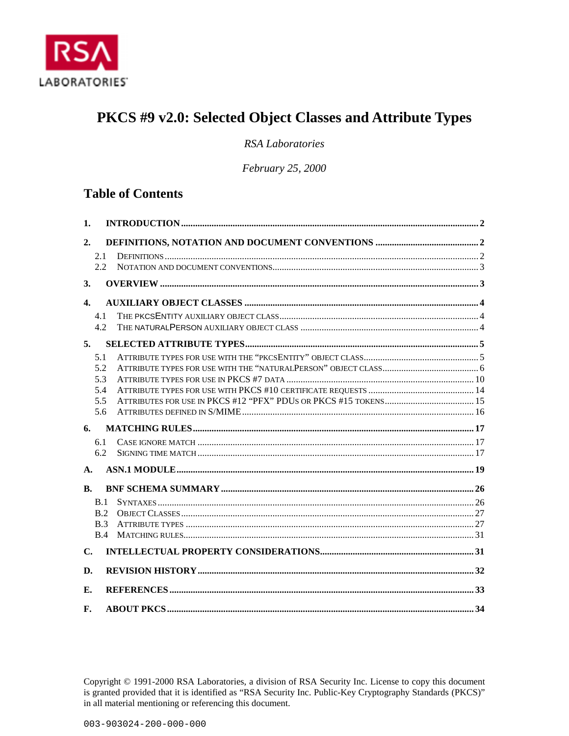

# PKCS #9 v2.0: Selected Object Classes and Attribute Types

**RSA** Laboratories

February 25, 2000

# **Table of Contents**

| 1.             |      |  |  |  |  |
|----------------|------|--|--|--|--|
| 2.             |      |  |  |  |  |
|                | 2.1  |  |  |  |  |
|                | 2.2  |  |  |  |  |
| 3.             |      |  |  |  |  |
| $\mathbf{4}$ . |      |  |  |  |  |
|                | 4.1  |  |  |  |  |
|                | 4.2. |  |  |  |  |
| 5.             |      |  |  |  |  |
|                | 5.1  |  |  |  |  |
|                | 5.2  |  |  |  |  |
|                | 5.3  |  |  |  |  |
|                | 5.4  |  |  |  |  |
|                | 5.5  |  |  |  |  |
|                | 5.6  |  |  |  |  |
| 6.             |      |  |  |  |  |
|                | 6.1  |  |  |  |  |
|                | 6.2  |  |  |  |  |
| $\mathbf{A}$ . |      |  |  |  |  |
| <b>B.</b>      |      |  |  |  |  |
|                | B.1  |  |  |  |  |
|                | B.2  |  |  |  |  |
|                | B.3  |  |  |  |  |
|                | B.4  |  |  |  |  |
| $\mathbf{C}$ . |      |  |  |  |  |
| D.             |      |  |  |  |  |
| Е.             |      |  |  |  |  |
| F.             |      |  |  |  |  |

Copyright © 1991-2000 RSA Laboratories, a division of RSA Security Inc. License to copy this document is granted provided that it is identified as "RSA Security Inc. Public-Key Cryptography Standards (PKCS)" in all material mentioning or referencing this document.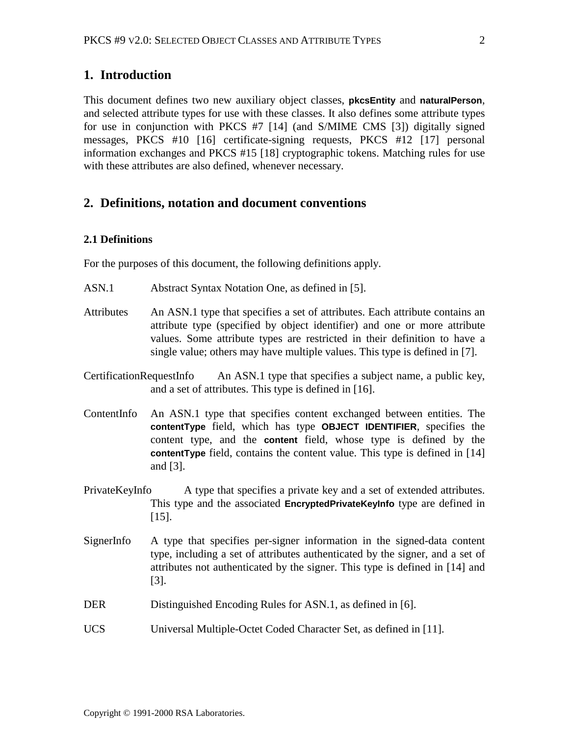# <span id="page-1-0"></span>**1. Introduction**

This document defines two new auxiliary object classes, **pkcsEntity** and **naturalPerson**, and selected attribute types for use with these classes. It also defines some attribute types for use in conjunction with PKCS #7 [\[14\]](#page-32-0) (and S/MIME CMS [\[3\]\)](#page-32-0) digitally signed messages, PKCS #10 [\[16\]](#page-33-0) certificate-signing requests, PKCS #12 [\[17\]](#page-33-0) personal information exchanges and PKCS #15 [\[18\]](#page-33-0) cryptographic tokens. Matching rules for use with these attributes are also defined, whenever necessary.

# **2. Definitions, notation and document conventions**

### **2.1 Definitions**

For the purposes of this document, the following definitions apply.

- ASN.1 Abstract Syntax Notation One, as defined in [\[5\].](#page-32-0)
- Attributes An ASN.1 type that specifies a set of attributes. Each attribute contains an attribute type (specified by object identifier) and one or more attribute values. Some attribute types are restricted in their definition to have a single value; others may have multiple values. This type is defined in [\[7\].](#page-32-0)
- CertificationRequestInfo An ASN.1 type that specifies a subject name, a public key, and a set of attributes. This type is defined in [\[16\].](#page-33-0)
- ContentInfo An ASN.1 type that specifies content exchanged between entities. The **contentType** field, which has type **OBJECT IDENTIFIER**, specifies the content type, and the **content** field, whose type is defined by the **contentType** field, contains the content value. This type is defined in [\[14\]](#page-32-0) and [\[3\].](#page-32-0)
- PrivateKeyInfo A type that specifies a private key and a set of extended attributes. This type and the associated **EncryptedPrivateKeyInfo** type are defined in [\[15\].](#page-32-0)
- SignerInfo A type that specifies per-signer information in the signed-data content type, including a set of attributes authenticated by the signer, and a set of attributes not authenticated by the signer. This type is defined in [\[14\]](#page-32-0) and [\[3\].](#page-32-0)
- DER Distinguished Encoding Rules for ASN.1, as defined in [\[6\].](#page-32-0)
- UCS Universal Multiple-Octet Coded Character Set, as defined in [\[11\].](#page-32-0)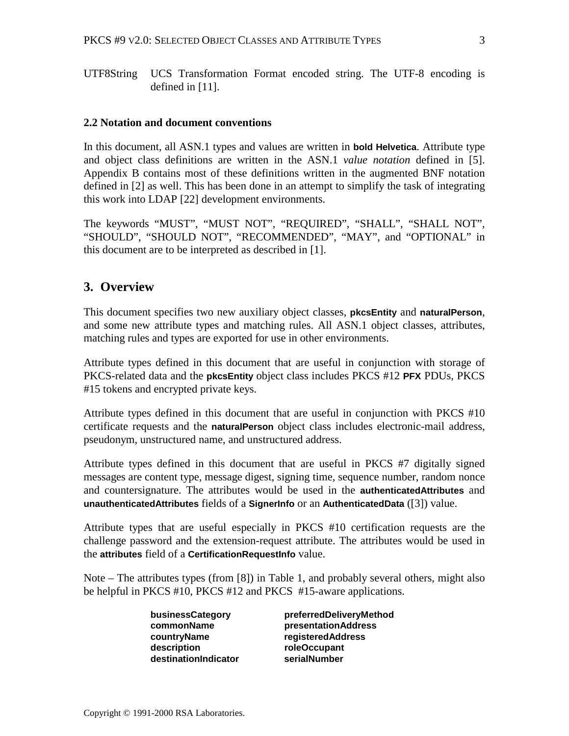<span id="page-2-0"></span>UTF8String UCS Transformation Format encoded string. The UTF-8 encoding is defined in [\[11\].](#page-32-0)

#### **2.2 Notation and document conventions**

In this document, all ASN.1 types and values are written in **bold Helvetica**. Attribute type and object class definitions are written in the ASN.1 *value notation* defined in [\[5\].](#page-32-0) Appendix [B](#page-25-0) contains most of these definitions written in the augmented BNF notation defined in [\[2\] a](#page-32-0)s well. This has been done in an attempt to simplify the task of integrating this work into LDAP [\[22\] d](#page-33-0)evelopment environments.

The keywords "MUST", "MUST NOT", "REQUIRED", "SHALL", "SHALL NOT", "SHOULD", "SHOULD NOT", "RECOMMENDED", "MAY", and "OPTIONAL" in this document are to be interpreted as described in [\[1\].](#page-32-0)

### **3. Overview**

This document specifies two new auxiliary object classes, **pkcsEntity** and **naturalPerson**, and some new attribute types and matching rules. All ASN.1 object classes, attributes, matching rules and types are exported for use in other environments.

Attribute types defined in this document that are useful in conjunction with storage of PKCS-related data and the **pkcsEntity** object class includes PKCS #12 **PFX** PDUs, PKCS #15 tokens and encrypted private keys.

Attribute types defined in this document that are useful in conjunction with PKCS #10 certificate requests and the **naturalPerson** object class includes electronic-mail address, pseudonym, unstructured name, and unstructured address.

Attribute types defined in this document that are useful in PKCS #7 digitally signed messages are content type, message digest, signing time, sequence number, random nonce and countersignature. The attributes would be used in the **authenticatedAttributes** and **unauthenticatedAttributes** fields of a **SignerInfo** or an **AuthenticatedData** ([\[3\]\)](#page-32-0) value.

Attribute types that are useful especially in PKCS #10 certification requests are the challenge password and the extension-request attribute. The attributes would be used in the **attributes** field of a **CertificationRequestInfo** value.

Note – The attributes types (from [\[8\]](#page-32-0)) in [Table 1,](#page-3-0) and probably several others, might also be helpful in PKCS #10, PKCS #12 and PKCS #15-aware applications.

| businessCategory     | preferredDeliveryMethod    |
|----------------------|----------------------------|
| commonName           | <b>presentationAddress</b> |
| countryName          | <b>registeredAddress</b>   |
| description          | roleOccupant               |
| destinationIndicator | serialNumber               |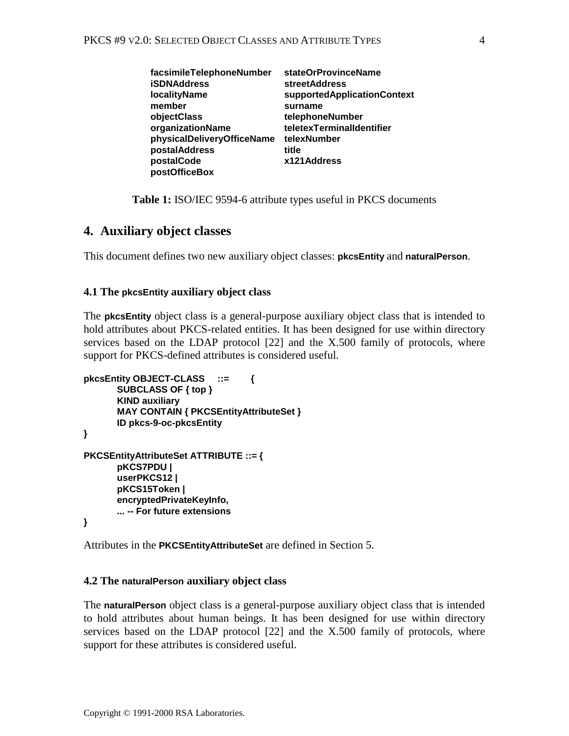<span id="page-3-0"></span>

| facsimileTelephoneNumber   | stateOrProvinceName         |
|----------------------------|-----------------------------|
| <b>iSDNAddress</b>         | <b>streetAddress</b>        |
| <b>localityName</b>        | supportedApplicationContext |
| member                     | surname                     |
| objectClass                | telephoneNumber             |
| organizationName           | teletexTerminalIdentifier   |
| physicalDeliveryOfficeName | telexNumber                 |
| postalAddress              | title                       |
| postalCode                 | x121Address                 |
| postOfficeBox              |                             |

**Table 1:** ISO/IEC 9594-6 attribute types useful in PKCS documents

### **4. Auxiliary object classes**

This document defines two new auxiliary object classes: **pkcsEntity** and **naturalPerson**.

### **4.1 The pkcsEntity auxiliary object class**

The **pkcsEntity** object class is a general-purpose auxiliary object class that is intended to hold attributes about PKCS-related entities. It has been designed for use within directory services based on the LDAP protocol [\[22\]](#page-33-0) and the X.500 family of protocols, where support for PKCS-defined attributes is considered useful.

```
pkcsEntity OBJECT-CLASS ::= {
      SUBCLASS OF { top }
       KIND auxiliary
       MAY CONTAIN { PKCSEntityAttributeSet }
      ID pkcs-9-oc-pkcsEntity
}
PKCSEntityAttributeSet ATTRIBUTE ::= {
      pKCS7PDU |
      userPKCS12 |
      pKCS15Token |
      encryptedPrivateKeyInfo,
       ... -- For future extensions
}
```
Attributes in the **PKCSEntityAttributeSet** are defined in Section [5.](#page-4-0)

#### **4.2 The naturalPerson auxiliary object class**

The **naturalPerson** object class is a general-purpose auxiliary object class that is intended to hold attributes about human beings. It has been designed for use within directory services based on the LDAP protocol [\[22\]](#page-33-0) and the X.500 family of protocols, where support for these attributes is considered useful.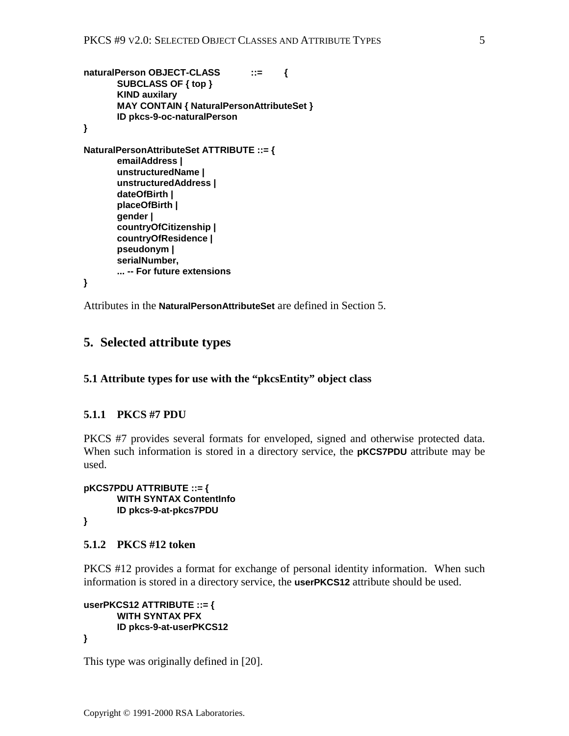```
naturalPerson OBJECT-CLASS ::= {
      SUBCLASS OF { top }
      KIND auxilary
       MAY CONTAIN { NaturalPersonAttributeSet }
      ID pkcs-9-oc-naturalPerson
}
NaturalPersonAttributeSet ATTRIBUTE ::= {
      emailAddress |
      unstructuredName |
      unstructuredAddress |
      dateOfBirth |
      placeOfBirth |
      gender |
       countryOfCitizenship |
       countryOfResidence |
      pseudonym |
      serialNumber,
      ... -- For future extensions
```
**}**

Attributes in the **NaturalPersonAttributeSet** are defined in Section 5.

# **5. Selected attribute types**

#### **5.1 Attribute types for use with the "pkcsEntity" object class**

### **5.1.1 PKCS #7 PDU**

PKCS #7 provides several formats for enveloped, signed and otherwise protected data. When such information is stored in a directory service, the **pKCS7PDU** attribute may be used.

**pKCS7PDU ATTRIBUTE ::= { WITH SYNTAX ContentInfo ID pkcs-9-at-pkcs7PDU }**

#### **5.1.2 PKCS #12 token**

PKCS #12 provides a format for exchange of personal identity information. When such information is stored in a directory service, the **userPKCS12** attribute should be used.

```
userPKCS12 ATTRIBUTE ::= {
      WITH SYNTAX PFX
      ID pkcs-9-at-userPKCS12
}
```
This type was originally defined in [\[20\].](#page-33-0)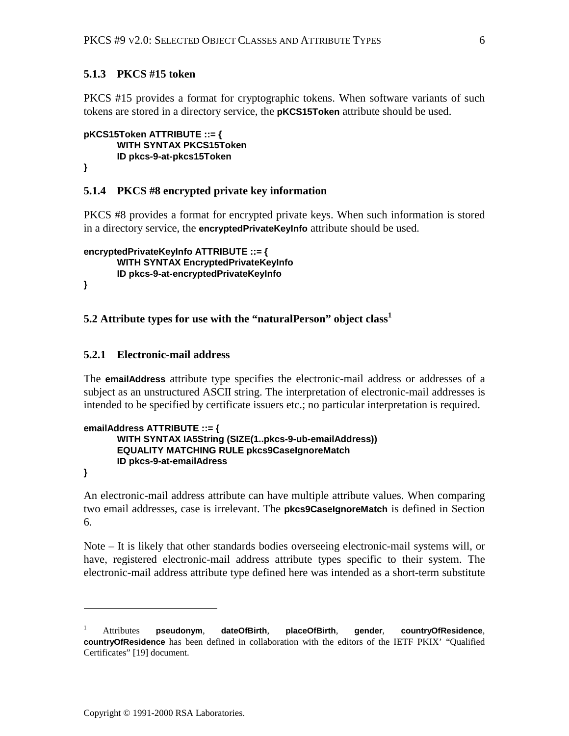### <span id="page-5-0"></span>**5.1.3 PKCS #15 token**

PKCS #15 provides a format for cryptographic tokens. When software variants of such tokens are stored in a directory service, the **pKCS15Token** attribute should be used.

```
pKCS15Token ATTRIBUTE ::= {
      WITH SYNTAX PKCS15Token
      ID pkcs-9-at-pkcs15Token
```
**}**

#### **5.1.4 PKCS #8 encrypted private key information**

PKCS #8 provides a format for encrypted private keys. When such information is stored in a directory service, the **encryptedPrivateKeyInfo** attribute should be used.

```
encryptedPrivateKeyInfo ATTRIBUTE ::= {
       WITH SYNTAX EncryptedPrivateKeyInfo
       ID pkcs-9-at-encryptedPrivateKeyInfo
}
```
### **5.2 Attribute types for use with the "naturalPerson" object class<sup>1</sup>**

#### **5.2.1 Electronic-mail address**

The **emailAddress** attribute type specifies the electronic-mail address or addresses of a subject as an unstructured ASCII string. The interpretation of electronic-mail addresses is intended to be specified by certificate issuers etc.; no particular interpretation is required.

```
emailAddress ATTRIBUTE ::= {
      WITH SYNTAX IA5String (SIZE(1..pkcs-9-ub-emailAddress))
      EQUALITY MATCHING RULE pkcs9CaseIgnoreMatch
      ID pkcs-9-at-emailAdress
```
**}**

 $\overline{a}$ 

An electronic-mail address attribute can have multiple attribute values. When comparing two email addresses, case is irrelevant. The **pkcs9CaseIgnoreMatch** is defined in Section [6.](#page-16-0)

Note – It is likely that other standards bodies overseeing electronic-mail systems will, or have, registered electronic-mail address attribute types specific to their system. The electronic-mail address attribute type defined here was intended as a short-term substitute

<sup>1</sup> Attributes **pseudonym**, **dateOfBirth**, **placeOfBirth**, **gender**, **countryOfResidence**, **countryOfResidence** has been defined in collaboration with the editors of the IETF PKIX' "Qualified Certificates" [19] document.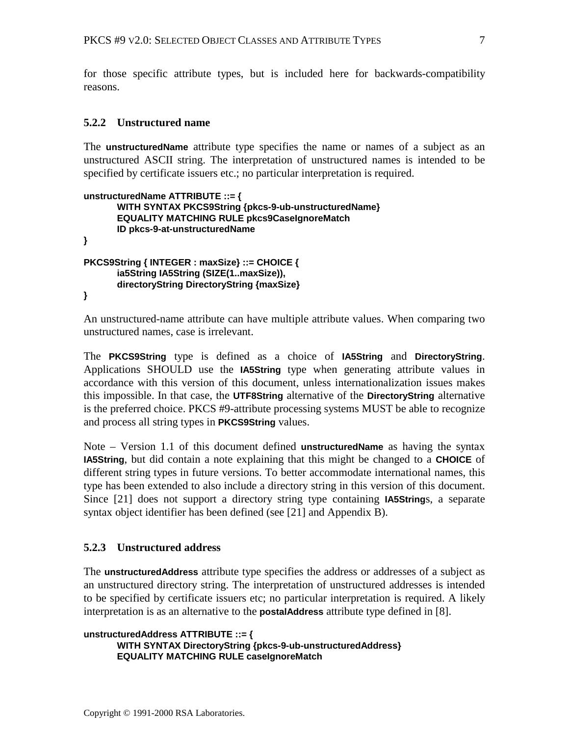<span id="page-6-0"></span>for those specific attribute types, but is included here for backwards-compatibility reasons.

### **5.2.2 Unstructured name**

The **unstructuredName** attribute type specifies the name or names of a subject as an unstructured ASCII string. The interpretation of unstructured names is intended to be specified by certificate issuers etc.; no particular interpretation is required.

```
unstructuredName ATTRIBUTE ::= {
      WITH SYNTAX PKCS9String {pkcs-9-ub-unstructuredName}
       EQUALITY MATCHING RULE pkcs9CaseIgnoreMatch
       ID pkcs-9-at-unstructuredName
}
PKCS9String { INTEGER : maxSize} ::= CHOICE {
       ia5String IA5String (SIZE(1..maxSize)),
        directoryString DirectoryString {maxSize}
}
```
An unstructured-name attribute can have multiple attribute values. When comparing two unstructured names, case is irrelevant.

The **PKCS9String** type is defined as a choice of **IA5String** and **DirectoryString**. Applications SHOULD use the **IA5String** type when generating attribute values in accordance with this version of this document, unless internationalization issues makes this impossible. In that case, the **UTF8String** alternative of the **DirectoryString** alternative is the preferred choice. PKCS #9-attribute processing systems MUST be able to recognize and process all string types in **PKCS9String** values.

Note – Version 1.1 of this document defined **unstructuredName** as having the syntax **IA5String**, but did contain a note explaining that this might be changed to a **CHOICE** of different string types in future versions. To better accommodate international names, this type has been extended to also include a directory string in this version of this document. Since [\[21\]](#page-33-0) does not support a directory string type containing **IA5String**s, a separate syntax object identifier has been defined (see [\[21\] a](#page-33-0)nd Appendix [B\).](#page-25-0)

### **5.2.3 Unstructured address**

The **unstructuredAddress** attribute type specifies the address or addresses of a subject as an unstructured directory string. The interpretation of unstructured addresses is intended to be specified by certificate issuers etc; no particular interpretation is required. A likely interpretation is as an alternative to the **postalAddress** attribute type defined in [\[8\].](#page-32-0)

```
unstructuredAddress ATTRIBUTE ::= {
      WITH SYNTAX DirectoryString {pkcs-9-ub-unstructuredAddress}
      EQUALITY MATCHING RULE caseIgnoreMatch
```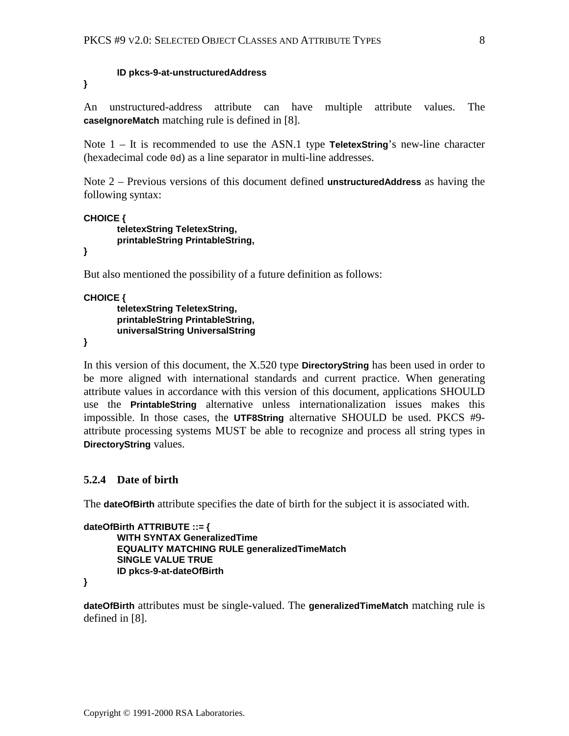#### **ID pkcs-9-at-unstructuredAddress**

**}**

An unstructured-address attribute can have multiple attribute values. The **caseIgnoreMatch** matching rule is defined in [\[8\].](#page-32-0)

Note 1 – It is recommended to use the ASN.1 type **TeletexString**'s new-line character (hexadecimal code 0d) as a line separator in multi-line addresses.

Note 2 – Previous versions of this document defined **unstructuredAddress** as having the following syntax:

```
CHOICE {
       teletexString TeletexString,
       printableString PrintableString,
```
**}**

But also mentioned the possibility of a future definition as follows:

```
CHOICE {
```

```
teletexString TeletexString,
printableString PrintableString,
universalString UniversalString
```
**}**

In this version of this document, the X.520 type **DirectoryString** has been used in order to be more aligned with international standards and current practice. When generating attribute values in accordance with this version of this document, applications SHOULD use the **PrintableString** alternative unless internationalization issues makes this impossible. In those cases, the **UTF8String** alternative SHOULD be used. PKCS #9 attribute processing systems MUST be able to recognize and process all string types in **DirectoryString** values.

### **5.2.4 Date of birth**

The **dateOfBirth** attribute specifies the date of birth for the subject it is associated with.

```
dateOfBirth ATTRIBUTE ::= {
      WITH SYNTAX GeneralizedTime
      EQUALITY MATCHING RULE generalizedTimeMatch
      SINGLE VALUE TRUE
      ID pkcs-9-at-dateOfBirth
```
**}**

**dateOfBirth** attributes must be single-valued. The **generalizedTimeMatch** matching rule is defined in [\[8\].](#page-32-0)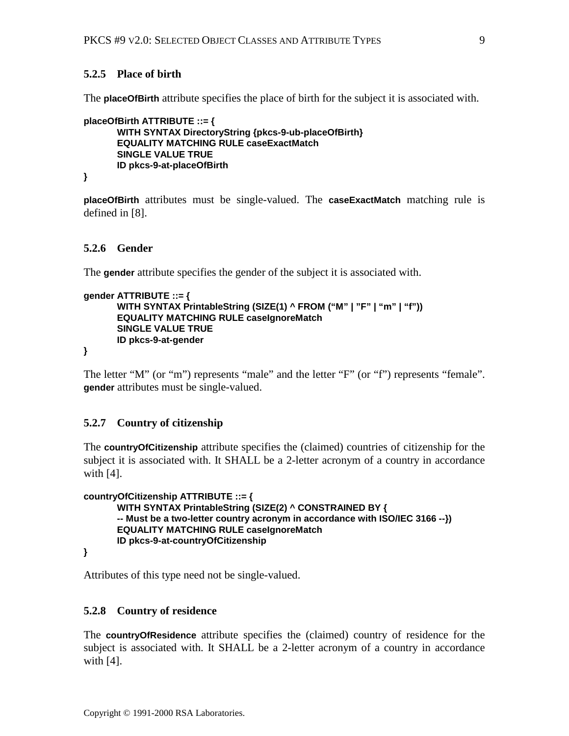### **5.2.5 Place of birth**

The **placeOfBirth** attribute specifies the place of birth for the subject it is associated with.

```
placeOfBirth ATTRIBUTE ::= {
      WITH SYNTAX DirectoryString {pkcs-9-ub-placeOfBirth}
      EQUALITY MATCHING RULE caseExactMatch
      SINGLE VALUE TRUE
      ID pkcs-9-at-placeOfBirth
}
```
**placeOfBirth** attributes must be single-valued. The **caseExactMatch** matching rule is defined in [\[8\].](#page-32-0)

#### **5.2.6 Gender**

The **gender** attribute specifies the gender of the subject it is associated with.

```
gender ATTRIBUTE ::= {
      WITH SYNTAX PrintableString (SIZE(1) ^ FROM ("M" | "F" | "m" | "f"))
      EQUALITY MATCHING RULE caseIgnoreMatch
      SINGLE VALUE TRUE
      ID pkcs-9-at-gender
```
**}**

The letter "M" (or "m") represents "male" and the letter "F" (or "f") represents "female". **gender** attributes must be single-valued.

### **5.2.7 Country of citizenship**

The **countryOfCitizenship** attribute specifies the (claimed) countries of citizenship for the subject it is associated with. It SHALL be a 2-letter acronym of a country in accordance with [\[4\].](#page-32-0)

```
countryOfCitizenship ATTRIBUTE ::= {
      WITH SYNTAX PrintableString (SIZE(2) ^ CONSTRAINED BY {
      -- Must be a two-letter country acronym in accordance with ISO/IEC 3166 --})
       EQUALITY MATCHING RULE caseIgnoreMatch
       ID pkcs-9-at-countryOfCitizenship
}
```
Attributes of this type need not be single-valued.

#### **5.2.8 Country of residence**

The **countryOfResidence** attribute specifies the (claimed) country of residence for the subject is associated with. It SHALL be a 2-letter acronym of a country in accordance with [\[4\].](#page-32-0)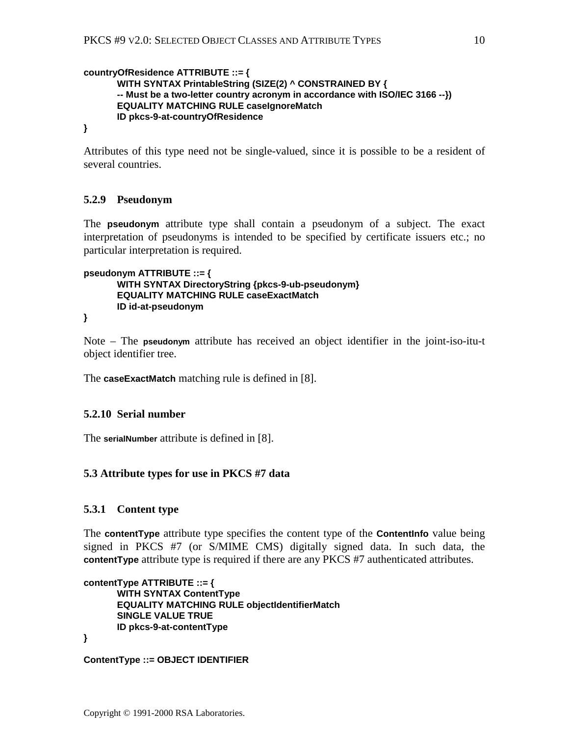```
countryOfResidence ATTRIBUTE ::= {
      WITH SYNTAX PrintableString (SIZE(2) ^ CONSTRAINED BY {
      -- Must be a two-letter country acronym in accordance with ISO/IEC 3166 --})
       EQUALITY MATCHING RULE caseIgnoreMatch
      ID pkcs-9-at-countryOfResidence
```
**}**

Attributes of this type need not be single-valued, since it is possible to be a resident of several countries.

# **5.2.9 Pseudonym**

The **pseudonym** attribute type shall contain a pseudonym of a subject. The exact interpretation of pseudonyms is intended to be specified by certificate issuers etc.; no particular interpretation is required.

```
pseudonym ATTRIBUTE ::= {
```

```
WITH SYNTAX DirectoryString {pkcs-9-ub-pseudonym}
EQUALITY MATCHING RULE caseExactMatch
ID id-at-pseudonym
```

```
}
```
Note – The **pseudonym** attribute has received an object identifier in the joint-iso-itu-t object identifier tree.

The **caseExactMatch** matching rule is defined in [\[8\].](#page-32-0)

### **5.2.10 Serial number**

The **serialNumber** attribute is defined in [\[8\].](#page-32-0)

### **5.3 Attribute types for use in PKCS #7 data**

### **5.3.1 Content type**

The **contentType** attribute type specifies the content type of the **ContentInfo** value being signed in PKCS #7 (or S/MIME CMS) digitally signed data. In such data, the **contentType** attribute type is required if there are any PKCS #7 authenticated attributes.

```
contentType ATTRIBUTE ::= {
      WITH SYNTAX ContentType
      EQUALITY MATCHING RULE objectIdentifierMatch
      SINGLE VALUE TRUE
      ID pkcs-9-at-contentType
}
```

```
ContentType ::= OBJECT IDENTIFIER
```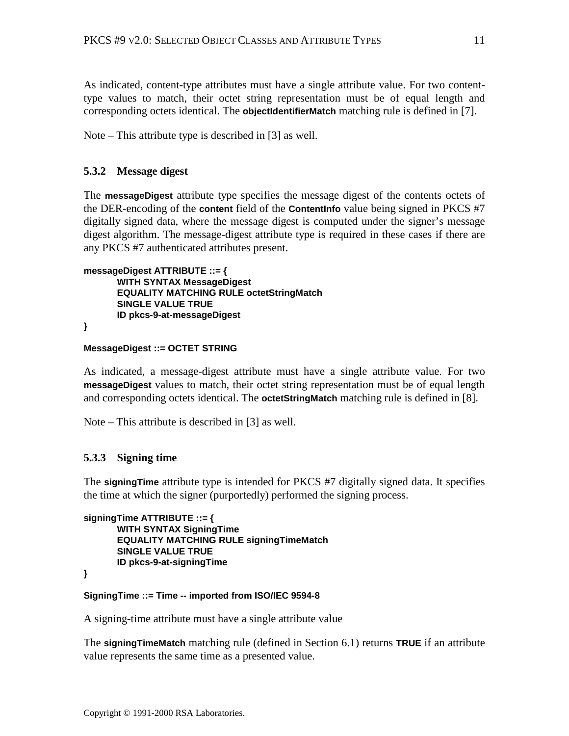As indicated, content-type attributes must have a single attribute value. For two contenttype values to match, their octet string representation must be of equal length and corresponding octets identical. The **objectIdentifierMatch** matching rule is defined in [\[7\].](#page-32-0)

Note – This attribute type is described in [\[3\]](#page-32-0) as well.

### **5.3.2 Message digest**

The **messageDigest** attribute type specifies the message digest of the contents octets of the DER-encoding of the **content** field of the **ContentInfo** value being signed in PKCS #7 digitally signed data, where the message digest is computed under the signer's message digest algorithm. The message-digest attribute type is required in these cases if there are any PKCS #7 authenticated attributes present.

```
messageDigest ATTRIBUTE ::= {
      WITH SYNTAX MessageDigest
      EQUALITY MATCHING RULE octetStringMatch
      SINGLE VALUE TRUE
      ID pkcs-9-at-messageDigest
```
**}**

#### **MessageDigest ::= OCTET STRING**

As indicated, a message-digest attribute must have a single attribute value. For two **messageDigest** values to match, their octet string representation must be of equal length and corresponding octets identical. The **octetStringMatch** matching rule is defined in [\[8\].](#page-32-0)

Note – This attribute is described in [\[3\] a](#page-32-0)s well.

#### **5.3.3 Signing time**

The **signingTime** attribute type is intended for PKCS #7 digitally signed data. It specifies the time at which the signer (purportedly) performed the signing process.

```
signingTime ATTRIBUTE ::= {
      WITH SYNTAX SigningTime
      EQUALITY MATCHING RULE signingTimeMatch
      SINGLE VALUE TRUE
      ID pkcs-9-at-signingTime
```
**}**

### **SigningTime ::= Time -- imported from ISO/IEC 9594-8**

A signing-time attribute must have a single attribute value

The **signingTimeMatch** matching rule (defined in Section [6.1\)](#page-16-0) returns **TRUE** if an attribute value represents the same time as a presented value.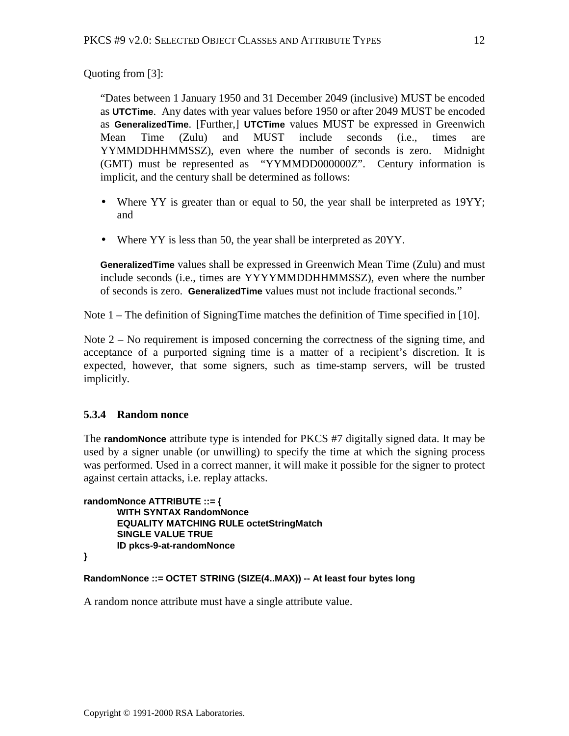Quoting from [\[3\]:](#page-32-0)

"Dates between 1 January 1950 and 31 December 2049 (inclusive) MUST be encoded as **UTCTime**. Any dates with year values before 1950 or after 2049 MUST be encoded as **GeneralizedTime**. [Further,] **UTCTime** values MUST be expressed in Greenwich Mean Time (Zulu) and MUST include seconds (i.e., times are YYMMDDHHMMSSZ), even where the number of seconds is zero. Midnight (GMT) must be represented as "YYMMDD000000Z". Century information is implicit, and the century shall be determined as follows:

- Where YY is greater than or equal to 50, the year shall be interpreted as 19YY; and
- Where YY is less than 50, the year shall be interpreted as 20YY.

**GeneralizedTime** values shall be expressed in Greenwich Mean Time (Zulu) and must include seconds (i.e., times are YYYYMMDDHHMMSSZ), even where the number of seconds is zero. **GeneralizedTime** values must not include fractional seconds."

Note 1 – The definition of SigningTime matches the definition of Time specified in [\[10\].](#page-32-0)

Note  $2 - No$  requirement is imposed concerning the correctness of the signing time, and acceptance of a purported signing time is a matter of a recipient's discretion. It is expected, however, that some signers, such as time-stamp servers, will be trusted implicitly.

# **5.3.4 Random nonce**

The **randomNonce** attribute type is intended for PKCS #7 digitally signed data. It may be used by a signer unable (or unwilling) to specify the time at which the signing process was performed. Used in a correct manner, it will make it possible for the signer to protect against certain attacks, i.e. replay attacks.

**randomNonce ATTRIBUTE ::= { WITH SYNTAX RandomNonce EQUALITY MATCHING RULE octetStringMatch SINGLE VALUE TRUE ID pkcs-9-at-randomNonce**

```
}
```
**RandomNonce ::= OCTET STRING (SIZE(4..MAX)) -- At least four bytes long**

A random nonce attribute must have a single attribute value.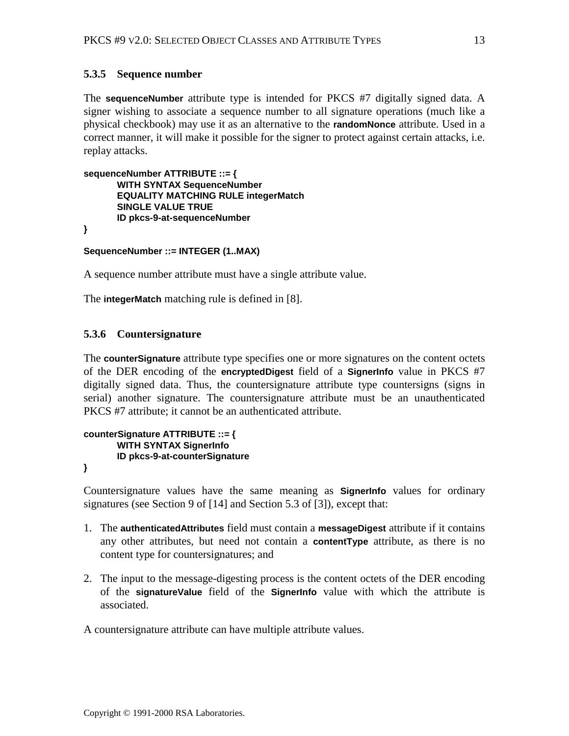# **5.3.5 Sequence number**

The **sequenceNumber** attribute type is intended for PKCS #7 digitally signed data. A signer wishing to associate a sequence number to all signature operations (much like a physical checkbook) may use it as an alternative to the **randomNonce** attribute. Used in a correct manner, it will make it possible for the signer to protect against certain attacks, i.e. replay attacks.

```
sequenceNumber ATTRIBUTE ::= {
      WITH SYNTAX SequenceNumber
      EQUALITY MATCHING RULE integerMatch
      SINGLE VALUE TRUE
      ID pkcs-9-at-sequenceNumber
}
```
**SequenceNumber ::= INTEGER (1..MAX)**

A sequence number attribute must have a single attribute value.

The **integerMatch** matching rule is defined in [\[8\].](#page-32-0)

### **5.3.6 Countersignature**

The **counterSignature** attribute type specifies one or more signatures on the content octets of the DER encoding of the **encryptedDigest** field of a **SignerInfo** value in PKCS #7 digitally signed data. Thus, the countersignature attribute type countersigns (signs in serial) another signature. The countersignature attribute must be an unauthenticated PKCS #7 attribute; it cannot be an authenticated attribute.

```
counterSignature ATTRIBUTE ::= {
       WITH SYNTAX SignerInfo
       ID pkcs-9-at-counterSignature
}
```
Countersignature values have the same meaning as **SignerInfo** values for ordinary signatures (see Section 9 of [\[14\] a](#page-32-0)nd Section 5.3 of [\[3\]\),](#page-32-0) except that:

- 1. The **authenticatedAttributes** field must contain a **messageDigest** attribute if it contains any other attributes, but need not contain a **contentType** attribute, as there is no content type for countersignatures; and
- 2. The input to the message-digesting process is the content octets of the DER encoding of the **signatureValue** field of the **SignerInfo** value with which the attribute is associated.

A countersignature attribute can have multiple attribute values.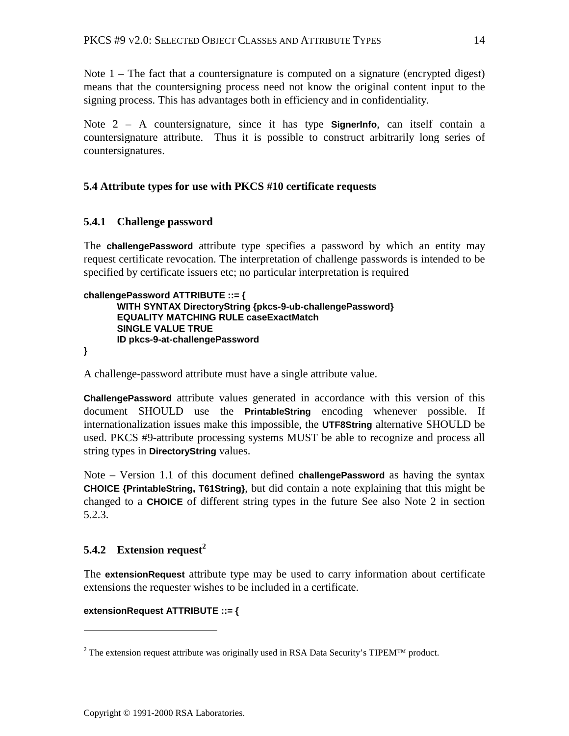<span id="page-13-0"></span>Note  $1$  – The fact that a countersignature is computed on a signature (encrypted digest) means that the countersigning process need not know the original content input to the signing process. This has advantages both in efficiency and in confidentiality.

Note 2 – A countersignature, since it has type **SignerInfo**, can itself contain a countersignature attribute. Thus it is possible to construct arbitrarily long series of countersignatures.

# **5.4 Attribute types for use with PKCS #10 certificate requests**

### **5.4.1 Challenge password**

The **challengePassword** attribute type specifies a password by which an entity may request certificate revocation. The interpretation of challenge passwords is intended to be specified by certificate issuers etc; no particular interpretation is required

```
challengePassword ATTRIBUTE ::= {
      WITH SYNTAX DirectoryString {pkcs-9-ub-challengePassword}
      EQUALITY MATCHING RULE caseExactMatch
      SINGLE VALUE TRUE
      ID pkcs-9-at-challengePassword
```
**}**

 $\overline{a}$ 

A challenge-password attribute must have a single attribute value.

**ChallengePassword** attribute values generated in accordance with this version of this document SHOULD use the **PrintableString** encoding whenever possible. If internationalization issues make this impossible, the **UTF8String** alternative SHOULD be used. PKCS #9-attribute processing systems MUST be able to recognize and process all string types in **DirectoryString** values.

Note – Version 1.1 of this document defined **challengePassword** as having the syntax **CHOICE {PrintableString, T61String}**, but did contain a note explaining that this might be changed to a **CHOICE** of different string types in the future See also Note 2 in section [5.2.3.](#page-6-0)

# **5.4.2 Extension request<sup>2</sup>**

The **extensionRequest** attribute type may be used to carry information about certificate extensions the requester wishes to be included in a certificate.

#### **extensionRequest ATTRIBUTE ::= {**

<sup>&</sup>lt;sup>2</sup> The extension request attribute was originally used in RSA Data Security's TIPEM<sup>TM</sup> product.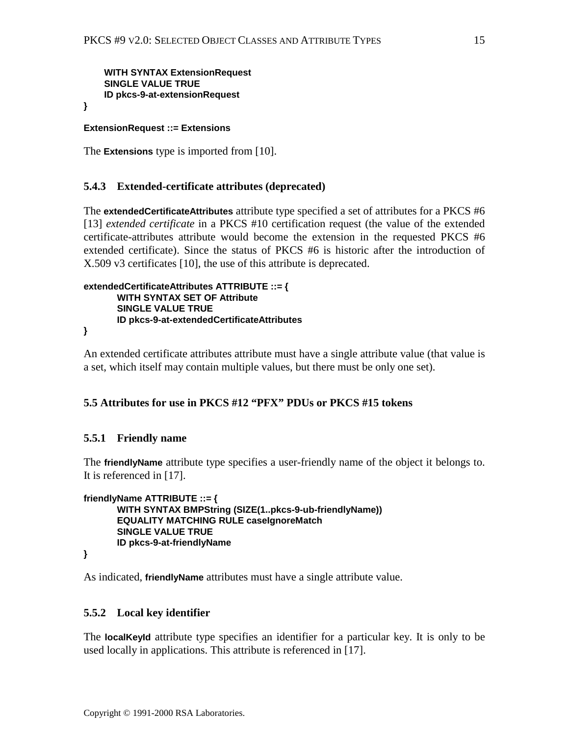<span id="page-14-0"></span> **WITH SYNTAX ExtensionRequest SINGLE VALUE TRUE ID pkcs-9-at-extensionRequest**

**}**

### **ExtensionRequest ::= Extensions**

The **Extensions** type is imported from [\[10\].](#page-32-0)

### **5.4.3 Extended-certificate attributes (deprecated)**

The **extendedCertificateAttributes** attribute type specified a set of attributes for a PKCS #6 [\[13\]](#page-32-0) *extended certificate* in a PKCS #10 certification request (the value of the extended certificate-attributes attribute would become the extension in the requested PKCS #6 extended certificate). Since the status of PKCS #6 is historic after the introduction of X.509 v3 certificates [\[10\],](#page-32-0) the use of this attribute is deprecated.

```
extendedCertificateAttributes ATTRIBUTE ::= {
       WITH SYNTAX SET OF Attribute
       SINGLE VALUE TRUE
       ID pkcs-9-at-extendedCertificateAttributes
}
```
An extended certificate attributes attribute must have a single attribute value (that value is a set, which itself may contain multiple values, but there must be only one set).

### **5.5 Attributes for use in PKCS #12 "PFX" PDUs or PKCS #15 tokens**

### **5.5.1 Friendly name**

The **friendlyName** attribute type specifies a user-friendly name of the object it belongs to. It is referenced in [\[17\].](#page-33-0)

```
friendlyName ATTRIBUTE ::= {
      WITH SYNTAX BMPString (SIZE(1..pkcs-9-ub-friendlyName))
      EQUALITY MATCHING RULE caseIgnoreMatch
      SINGLE VALUE TRUE
      ID pkcs-9-at-friendlyName
```
**}**

As indicated, **friendlyName** attributes must have a single attribute value.

### **5.5.2 Local key identifier**

The **localKeyId** attribute type specifies an identifier for a particular key. It is only to be used locally in applications. This attribute is referenced in [\[17\].](#page-33-0)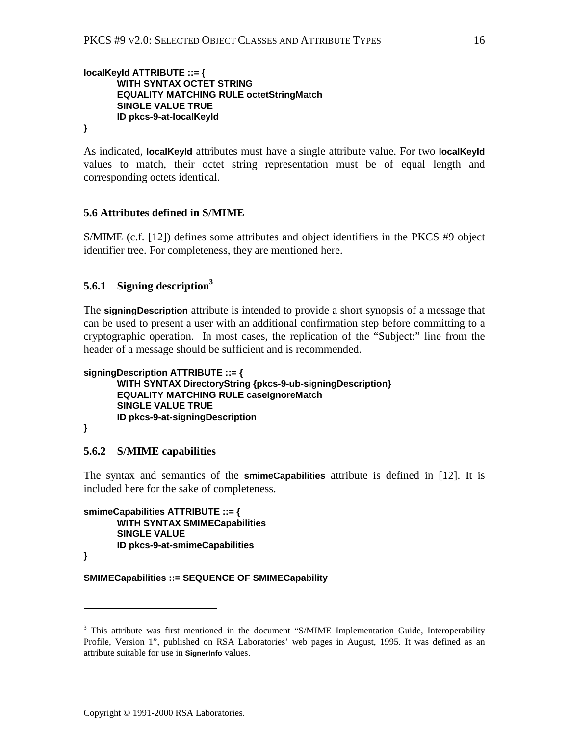### <span id="page-15-0"></span>**localKeyId ATTRIBUTE ::= { WITH SYNTAX OCTET STRING EQUALITY MATCHING RULE octetStringMatch SINGLE VALUE TRUE ID pkcs-9-at-localKeyId**

**}**

As indicated, **localKeyId** attributes must have a single attribute value. For two **localKeyId** values to match, their octet string representation must be of equal length and corresponding octets identical.

### **5.6 Attributes defined in S/MIME**

S/MIME (c.f. [\[12\]\)](#page-32-0) defines some attributes and object identifiers in the PKCS #9 object identifier tree. For completeness, they are mentioned here.

# **5.6.1 Signing description<sup>3</sup>**

The **signingDescription** attribute is intended to provide a short synopsis of a message that can be used to present a user with an additional confirmation step before committing to a cryptographic operation. In most cases, the replication of the "Subject:" line from the header of a message should be sufficient and is recommended.

```
signingDescription ATTRIBUTE ::= {
      WITH SYNTAX DirectoryString {pkcs-9-ub-signingDescription}
      EQUALITY MATCHING RULE caseIgnoreMatch
      SINGLE VALUE TRUE
      ID pkcs-9-at-signingDescription
```
### **}**

### **5.6.2 S/MIME capabilities**

The syntax and semantics of the **smimeCapabilities** attribute is defined in [\[12\].](#page-32-0) It is included here for the sake of completeness.

**smimeCapabilities ATTRIBUTE ::= { WITH SYNTAX SMIMECapabilities SINGLE VALUE ID pkcs-9-at-smimeCapabilities**

**}**

 $\overline{a}$ 

#### **SMIMECapabilities ::= SEQUENCE OF SMIMECapability**

<sup>&</sup>lt;sup>3</sup> This attribute was first mentioned in the document "S/MIME Implementation Guide, Interoperability Profile, Version 1", published on RSA Laboratories' web pages in August, 1995. It was defined as an attribute suitable for use in **SignerInfo** values.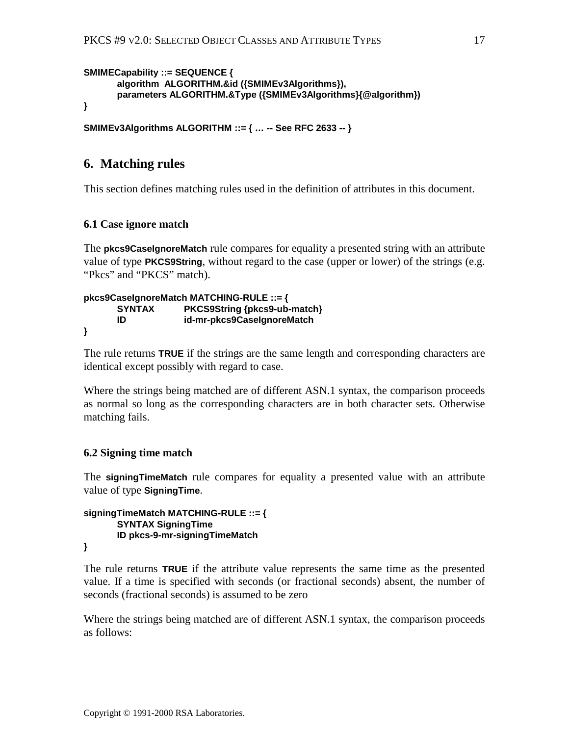```
SMIMECapability ::= SEQUENCE {
      algorithm ALGORITHM.&id ({SMIMEv3Algorithms}),
      parameters ALGORITHM.&Type ({SMIMEv3Algorithms}{@algorithm})
}
```

```
SMIMEv3Algorithms ALGORITHM ::= { … -- See RFC 2633 -- }
```
# **6. Matching rules**

This section defines matching rules used in the definition of attributes in this document.

# **6.1 Case ignore match**

The **pkcs9CaseIgnoreMatch** rule compares for equality a presented string with an attribute value of type **PKCS9String**, without regard to the case (upper or lower) of the strings (e.g. "Pkcs" and "PKCS" match).

#### **pkcs9CaseIgnoreMatch MATCHING-RULE ::= { SYNTAX PKCS9String {pkcs9-ub-match} ID id-mr-pkcs9CaseIgnoreMatch }**

The rule returns **TRUE** if the strings are the same length and corresponding characters are identical except possibly with regard to case.

Where the strings being matched are of different ASN.1 syntax, the comparison proceeds as normal so long as the corresponding characters are in both character sets. Otherwise matching fails.

# **6.2 Signing time match**

The **signingTimeMatch** rule compares for equality a presented value with an attribute value of type **SigningTime**.

```
signingTimeMatch MATCHING-RULE ::= {
      SYNTAX SigningTime
      ID pkcs-9-mr-signingTimeMatch
```

```
}
```
The rule returns **TRUE** if the attribute value represents the same time as the presented value. If a time is specified with seconds (or fractional seconds) absent, the number of seconds (fractional seconds) is assumed to be zero

Where the strings being matched are of different ASN.1 syntax, the comparison proceeds as follows: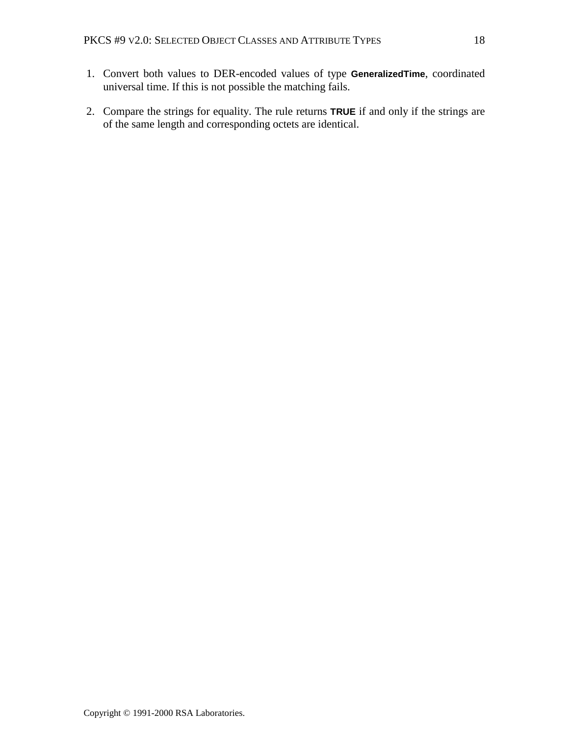- 1. Convert both values to DER-encoded values of type **GeneralizedTime**, coordinated universal time. If this is not possible the matching fails.
- 2. Compare the strings for equality. The rule returns **TRUE** if and only if the strings are of the same length and corresponding octets are identical.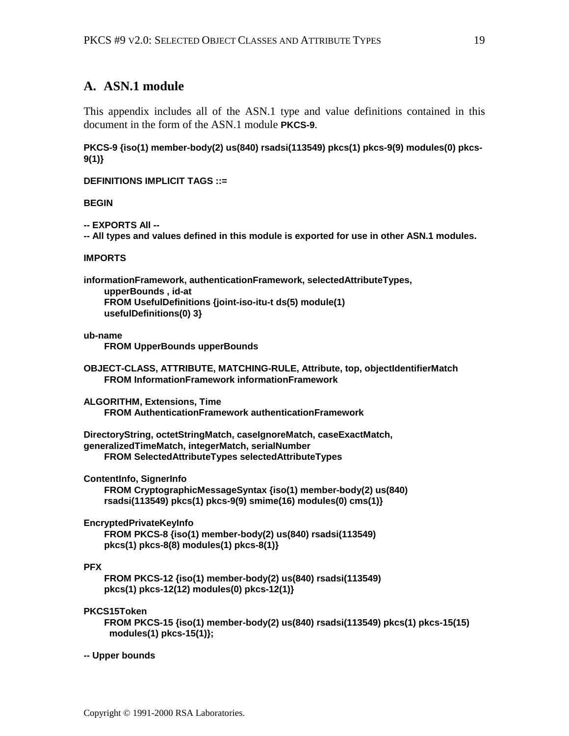# <span id="page-18-0"></span>**A. ASN.1 module**

This appendix includes all of the ASN.1 type and value definitions contained in this document in the form of the ASN.1 module **PKCS-9**.

**PKCS-9 {iso(1) member-body(2) us(840) rsadsi(113549) pkcs(1) pkcs-9(9) modules(0) pkcs-9(1)}**

**DEFINITIONS IMPLICIT TAGS ::=**

**BEGIN**

**-- EXPORTS All --**

**-- All types and values defined in this module is exported for use in other ASN.1 modules.**

#### **IMPORTS**

**informationFramework, authenticationFramework, selectedAttributeTypes, upperBounds , id-at FROM UsefulDefinitions {joint-iso-itu-t ds(5) module(1) usefulDefinitions(0) 3}**

#### **ub-name**

 **FROM UpperBounds upperBounds**

```
OBJECT-CLASS, ATTRIBUTE, MATCHING-RULE, Attribute, top, objectIdentifierMatch
     FROM InformationFramework informationFramework
```
**ALGORITHM, Extensions, Time FROM AuthenticationFramework authenticationFramework**

**DirectoryString, octetStringMatch, caseIgnoreMatch, caseExactMatch, generalizedTimeMatch, integerMatch, serialNumber FROM SelectedAttributeTypes selectedAttributeTypes**

**ContentInfo, SignerInfo**

 **FROM CryptographicMessageSyntax {iso(1) member-body(2) us(840) rsadsi(113549) pkcs(1) pkcs-9(9) smime(16) modules(0) cms(1)}**

**EncryptedPrivateKeyInfo**

```
 FROM PKCS-8 {iso(1) member-body(2) us(840) rsadsi(113549)
 pkcs(1) pkcs-8(8) modules(1) pkcs-8(1)}
```
### **PFX**

 **FROM PKCS-12 {iso(1) member-body(2) us(840) rsadsi(113549) pkcs(1) pkcs-12(12) modules(0) pkcs-12(1)}**

#### **PKCS15Token**

 **FROM PKCS-15 {iso(1) member-body(2) us(840) rsadsi(113549) pkcs(1) pkcs-15(15) modules(1) pkcs-15(1)};**

#### **-- Upper bounds**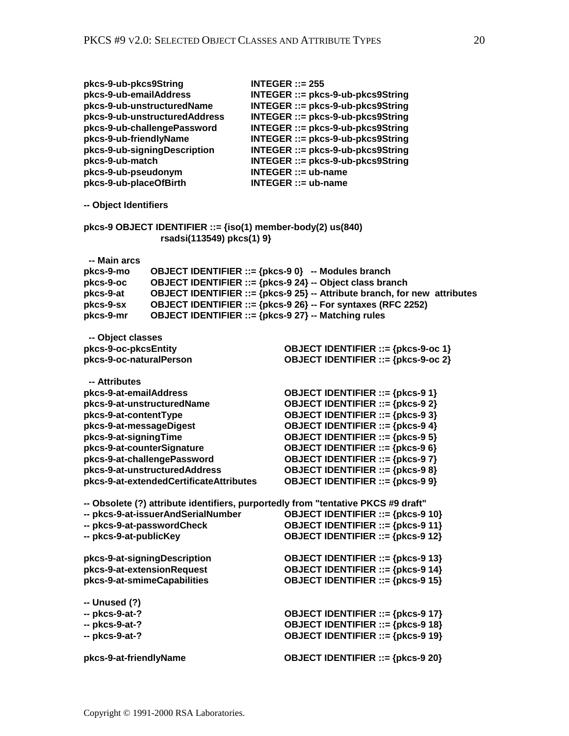| pkcs-9-ub-pkcs9String<br>pkcs-9-ub-emailAddress<br>pkcs-9-ub-friendlyName<br>pkcs-9-ub-match<br>pkcs-9-ub-pseudonym<br>pkcs-9-ub-placeOfBirth                                    | pkcs-9-ub-unstructuredName<br>pkcs-9-ub-unstructuredAddress<br>pkcs-9-ub-challengePassword<br>pkcs-9-ub-signingDescription                                                                                                                                                                                         | $INTEGR ::= 255$<br>INTEGER ::= pkcs-9-ub-pkcs9String<br>INTEGER ::= pkcs-9-ub-pkcs9String<br>INTEGER ::= pkcs-9-ub-pkcs9String<br>INTEGER ::= pkcs-9-ub-pkcs9String<br>INTEGER ::= pkcs-9-ub-pkcs9String<br>INTEGER ::= pkcs-9-ub-pkcs9String<br>INTEGER ::= pkcs-9-ub-pkcs9String<br>$INTEGR ::= ub \cdot name$<br>$INTEGR ::= ub\text{-}name$ |  |  |
|----------------------------------------------------------------------------------------------------------------------------------------------------------------------------------|--------------------------------------------------------------------------------------------------------------------------------------------------------------------------------------------------------------------------------------------------------------------------------------------------------------------|--------------------------------------------------------------------------------------------------------------------------------------------------------------------------------------------------------------------------------------------------------------------------------------------------------------------------------------------------|--|--|
| -- Object Identifiers                                                                                                                                                            |                                                                                                                                                                                                                                                                                                                    |                                                                                                                                                                                                                                                                                                                                                  |  |  |
|                                                                                                                                                                                  | rsadsi(113549) pkcs(1) 9}                                                                                                                                                                                                                                                                                          | pkcs-9 OBJECT IDENTIFIER ::= $\{iso(1)$ member-body(2) us $(840)$                                                                                                                                                                                                                                                                                |  |  |
| -- Main arcs<br>pkcs-9-mo<br>pkcs-9-oc<br>pkcs-9-at<br>pkcs-9-sx<br>pkcs-9-mr                                                                                                    | OBJECT IDENTIFIER ::= {pkcs-9 0} -- Modules branch<br>OBJECT IDENTIFIER ::= {pkcs-9 24} -- Object class branch<br>OBJECT IDENTIFIER ::= {pkcs-9 25} -- Attribute branch, for new attributes<br>OBJECT IDENTIFIER ::= {pkcs-9 26} -- For syntaxes (RFC 2252)<br>OBJECT IDENTIFIER ::= {pkcs-9 27} -- Matching rules |                                                                                                                                                                                                                                                                                                                                                  |  |  |
| -- Object classes<br>pkcs-9-oc-pkcsEntity                                                                                                                                        |                                                                                                                                                                                                                                                                                                                    | OBJECT IDENTIFIER ::= {pkcs-9-oc 1}                                                                                                                                                                                                                                                                                                              |  |  |
| pkcs-9-oc-naturalPerson                                                                                                                                                          |                                                                                                                                                                                                                                                                                                                    | OBJECT IDENTIFIER ::= {pkcs-9-oc 2}                                                                                                                                                                                                                                                                                                              |  |  |
| -- Attributes<br>pkcs-9-at-emailAddress<br>pkcs-9-at-unstructuredName<br>pkcs-9-at-contentType<br>pkcs-9-at-messageDigest<br>pkcs-9-at-signingTime<br>pkcs-9-at-counterSignature | pkcs-9-at-challengePassword<br>pkcs-9-at-unstructuredAddress<br>pkcs-9-at-extendedCertificateAttributes                                                                                                                                                                                                            | OBJECT IDENTIFIER ::= {pkcs-9 1}<br>OBJECT IDENTIFIER ::= {pkcs-9 2}<br>OBJECT IDENTIFIER ::= {pkcs-9 3}<br>OBJECT IDENTIFIER ::= {pkcs-9 4}<br>OBJECT IDENTIFIER ::= {pkcs-9 5}<br>OBJECT IDENTIFIER ::= {pkcs-9 6}<br>OBJECT IDENTIFIER ::= {pkcs-9 7}<br>OBJECT IDENTIFIER ::= {pkcs-9 8}<br><b>OBJECT IDENTIFIER ::= {pkcs-9 9}</b>          |  |  |
| -- pkcs-9-at-passwordCheck<br>-- pkcs-9-at-publicKey                                                                                                                             | -- pkcs-9-at-issuerAndSerialNumber                                                                                                                                                                                                                                                                                 | -- Obsolete (?) attribute identifiers, purportedly from "tentative PKCS #9 draft"<br><b>OBJECT IDENTIFIER ::= {pkcs-9 10}</b><br><b>OBJECT IDENTIFIER ::= {pkcs-9 11}</b><br><b>OBJECT IDENTIFIER ::= {pkcs-9 12}</b>                                                                                                                            |  |  |
| pkcs-9-at-extensionRequest<br>pkcs-9-at-smimeCapabilities                                                                                                                        | pkcs-9-at-signingDescription                                                                                                                                                                                                                                                                                       | <b>OBJECT IDENTIFIER ::= {pkcs-9 13}</b><br><b>OBJECT IDENTIFIER ::= {pkcs-9 14}</b><br><b>OBJECT IDENTIFIER ::= {pkcs-9 15}</b>                                                                                                                                                                                                                 |  |  |
| -- Unused (?)<br>-- pkcs-9-at-?<br>-- pkcs-9-at-?<br>-- pkcs-9-at-?                                                                                                              |                                                                                                                                                                                                                                                                                                                    | <b>OBJECT IDENTIFIER ::= {pkcs-9 17}</b><br><b>OBJECT IDENTIFIER ::= {pkcs-9 18}</b><br><b>OBJECT IDENTIFIER ::= {pkcs-9 19}</b>                                                                                                                                                                                                                 |  |  |
| pkcs-9-at-friendlyName                                                                                                                                                           |                                                                                                                                                                                                                                                                                                                    | <b>OBJECT IDENTIFIER ::= {pkcs-9 20}</b>                                                                                                                                                                                                                                                                                                         |  |  |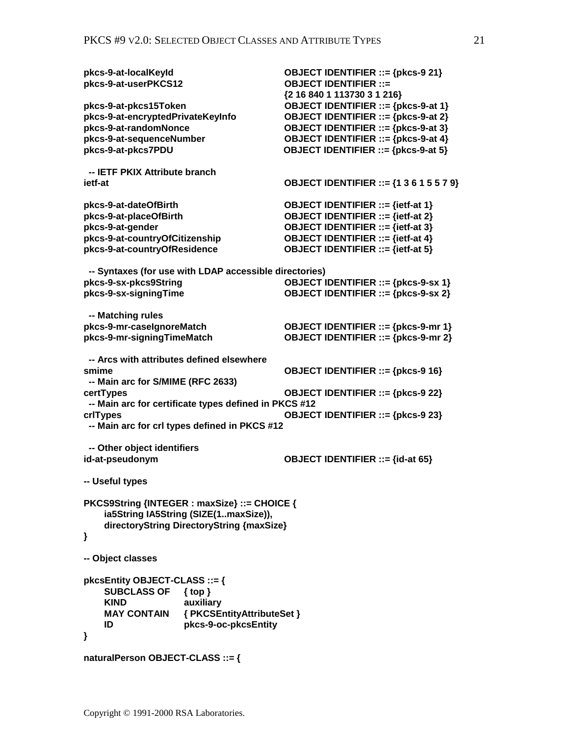| pkcs-9-at-localKeyId<br>pkcs-9-at-userPKCS12               | <b>OBJECT IDENTIFIER ::= {pkcs-9 21}</b><br><b>OBJECT IDENTIFIER ::=</b><br>{2 16 840 1 113730 3 1 216} |  |  |  |
|------------------------------------------------------------|---------------------------------------------------------------------------------------------------------|--|--|--|
| pkcs-9-at-pkcs15Token<br>pkcs-9-at-encryptedPrivateKeyInfo | OBJECT IDENTIFIER ::= {pkcs-9-at 1}<br>OBJECT IDENTIFIER ::= {pkcs-9-at 2}                              |  |  |  |
| pkcs-9-at-randomNonce                                      | OBJECT IDENTIFIER ::= {pkcs-9-at 3}                                                                     |  |  |  |
| pkcs-9-at-sequenceNumber<br>pkcs-9-at-pkcs7PDU             | OBJECT IDENTIFIER ::= {pkcs-9-at 4}<br>OBJECT IDENTIFIER ::= {pkcs-9-at 5}                              |  |  |  |
|                                                            |                                                                                                         |  |  |  |
| -- IETF PKIX Attribute branch<br>ietf-at                   | <b>OBJECT IDENTIFIER ::= {1 3 6 1 5 5 7 9}</b>                                                          |  |  |  |
| pkcs-9-at-dateOfBirth                                      | OBJECT IDENTIFIER ::= {ietf-at 1}                                                                       |  |  |  |
| pkcs-9-at-placeOfBirth                                     | <b>OBJECT IDENTIFIER ::= {ietf-at 2}</b>                                                                |  |  |  |
| pkcs-9-at-gender                                           | <b>OBJECT IDENTIFIER ::= {ietf-at 3}</b>                                                                |  |  |  |
| pkcs-9-at-countryOfCitizenship                             | <b>OBJECT IDENTIFIER ::= {ietf-at 4}</b>                                                                |  |  |  |
| pkcs-9-at-countryOfResidence                               | <b>OBJECT IDENTIFIER ::= {ietf-at 5}</b>                                                                |  |  |  |
|                                                            |                                                                                                         |  |  |  |
| -- Syntaxes (for use with LDAP accessible directories)     |                                                                                                         |  |  |  |
| pkcs-9-sx-pkcs9String                                      | OBJECT IDENTIFIER ::= {pkcs-9-sx 1}                                                                     |  |  |  |
| pkcs-9-sx-signingTime                                      | OBJECT IDENTIFIER ::= {pkcs-9-sx 2}                                                                     |  |  |  |
|                                                            |                                                                                                         |  |  |  |
| -- Matching rules                                          |                                                                                                         |  |  |  |
| pkcs-9-mr-caselgnoreMatch                                  | OBJECT IDENTIFIER ::= {pkcs-9-mr 1}                                                                     |  |  |  |
| pkcs-9-mr-signingTimeMatch                                 | OBJECT IDENTIFIER ::= {pkcs-9-mr 2}                                                                     |  |  |  |
|                                                            |                                                                                                         |  |  |  |
| -- Arcs with attributes defined elsewhere                  |                                                                                                         |  |  |  |
| smime                                                      | <b>OBJECT IDENTIFIER ::= {pkcs-9 16}</b>                                                                |  |  |  |
| -- Main arc for S/MIME (RFC 2633)                          |                                                                                                         |  |  |  |
| certTypes                                                  | <b>OBJECT IDENTIFIER ::= {pkcs-9 22}</b>                                                                |  |  |  |
| -- Main arc for certificate types defined in PKCS #12      |                                                                                                         |  |  |  |
| crlTypes                                                   | <b>OBJECT IDENTIFIER ::= {pkcs-9 23}</b>                                                                |  |  |  |
| -- Main arc for crl types defined in PKCS #12              |                                                                                                         |  |  |  |
| -- Other object identifiers                                |                                                                                                         |  |  |  |
| id-at-pseudonym                                            | <b>OBJECT IDENTIFIER ::= {id-at 65}</b>                                                                 |  |  |  |
|                                                            |                                                                                                         |  |  |  |
| <b>Useful types</b>                                        |                                                                                                         |  |  |  |
| PKCS9String {INTEGER : maxSize} ::= CHOICE {               |                                                                                                         |  |  |  |
| ia5String IA5String (SIZE(1maxSize)),                      |                                                                                                         |  |  |  |
| directoryString DirectoryString {maxSize}                  |                                                                                                         |  |  |  |
| }                                                          |                                                                                                         |  |  |  |
|                                                            |                                                                                                         |  |  |  |
| -- Object classes                                          |                                                                                                         |  |  |  |
|                                                            |                                                                                                         |  |  |  |
| pkcsEntity OBJECT-CLASS ::= {                              |                                                                                                         |  |  |  |
| <b>SUBCLASS OF</b><br>$\{top\}$                            |                                                                                                         |  |  |  |
| <b>KIND</b><br>auxiliary                                   |                                                                                                         |  |  |  |
| { PKCSEntityAttributeSet }<br><b>MAY CONTAIN</b>           |                                                                                                         |  |  |  |
| pkcs-9-oc-pkcsEntity<br>ID                                 |                                                                                                         |  |  |  |
| ł                                                          |                                                                                                         |  |  |  |
| naturalPerson OBJECT-CLASS ::= {                           |                                                                                                         |  |  |  |
|                                                            |                                                                                                         |  |  |  |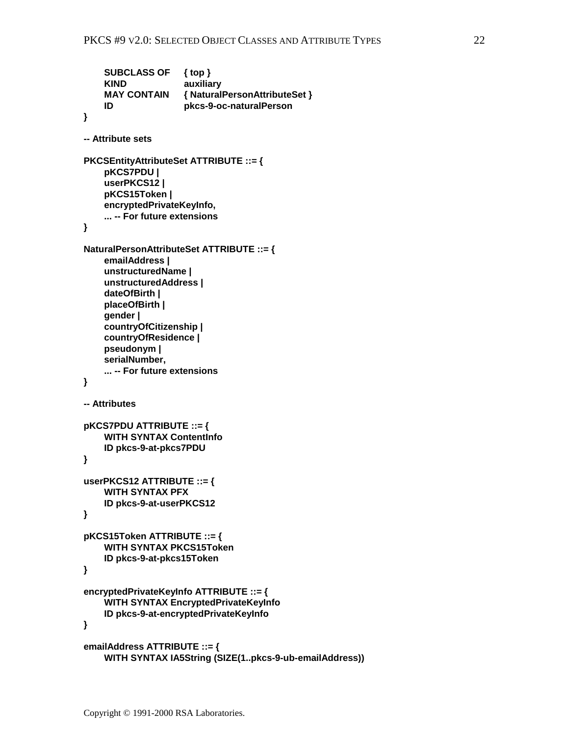```
 SUBCLASS OF { top }
     KIND auxiliary
     MAY CONTAIN { NaturalPersonAttributeSet }
     ID pkcs-9-oc-naturalPerson
}
-- Attribute sets
PKCSEntityAttributeSet ATTRIBUTE ::= {
     pKCS7PDU |
     userPKCS12 |
     pKCS15Token |
     encryptedPrivateKeyInfo,
     ... -- For future extensions
}
NaturalPersonAttributeSet ATTRIBUTE ::= {
     emailAddress |
     unstructuredName |
     unstructuredAddress |
     dateOfBirth |
     placeOfBirth |
     gender |
     countryOfCitizenship |
     countryOfResidence |
     pseudonym |
     serialNumber,
     ... -- For future extensions
}
-- Attributes
pKCS7PDU ATTRIBUTE ::= {
     WITH SYNTAX ContentInfo
     ID pkcs-9-at-pkcs7PDU
}
userPKCS12 ATTRIBUTE ::= {
     WITH SYNTAX PFX
     ID pkcs-9-at-userPKCS12
}
pKCS15Token ATTRIBUTE ::= {
     WITH SYNTAX PKCS15Token
     ID pkcs-9-at-pkcs15Token
}
encryptedPrivateKeyInfo ATTRIBUTE ::= {
     WITH SYNTAX EncryptedPrivateKeyInfo
     ID pkcs-9-at-encryptedPrivateKeyInfo
}
emailAddress ATTRIBUTE ::= {
     WITH SYNTAX IA5String (SIZE(1..pkcs-9-ub-emailAddress))
```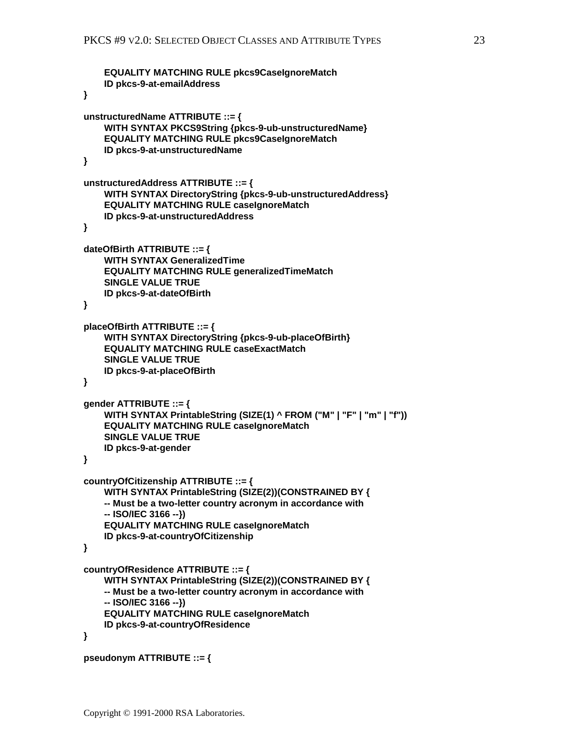```
 EQUALITY MATCHING RULE pkcs9CaseIgnoreMatch
     ID pkcs-9-at-emailAddress
}
unstructuredName ATTRIBUTE ::= {
     WITH SYNTAX PKCS9String {pkcs-9-ub-unstructuredName}
     EQUALITY MATCHING RULE pkcs9CaseIgnoreMatch
     ID pkcs-9-at-unstructuredName
}
unstructuredAddress ATTRIBUTE ::= {
     WITH SYNTAX DirectoryString {pkcs-9-ub-unstructuredAddress}
     EQUALITY MATCHING RULE caseIgnoreMatch
     ID pkcs-9-at-unstructuredAddress
}
dateOfBirth ATTRIBUTE ::= {
     WITH SYNTAX GeneralizedTime
     EQUALITY MATCHING RULE generalizedTimeMatch
     SINGLE VALUE TRUE
     ID pkcs-9-at-dateOfBirth
}
placeOfBirth ATTRIBUTE ::= {
     WITH SYNTAX DirectoryString {pkcs-9-ub-placeOfBirth}
     EQUALITY MATCHING RULE caseExactMatch
     SINGLE VALUE TRUE
     ID pkcs-9-at-placeOfBirth
}
gender ATTRIBUTE ::= {
     WITH SYNTAX PrintableString (SIZE(1) ^ FROM ("M" | "F" | "m" | "f"))
     EQUALITY MATCHING RULE caseIgnoreMatch
     SINGLE VALUE TRUE
     ID pkcs-9-at-gender
}
countryOfCitizenship ATTRIBUTE ::= {
     WITH SYNTAX PrintableString (SIZE(2))(CONSTRAINED BY {
     -- Must be a two-letter country acronym in accordance with
     -- ISO/IEC 3166 --})
     EQUALITY MATCHING RULE caseIgnoreMatch
     ID pkcs-9-at-countryOfCitizenship
}
countryOfResidence ATTRIBUTE ::= {
     WITH SYNTAX PrintableString (SIZE(2))(CONSTRAINED BY {
     -- Must be a two-letter country acronym in accordance with
     -- ISO/IEC 3166 --})
     EQUALITY MATCHING RULE caseIgnoreMatch
     ID pkcs-9-at-countryOfResidence
}
pseudonym ATTRIBUTE ::= {
```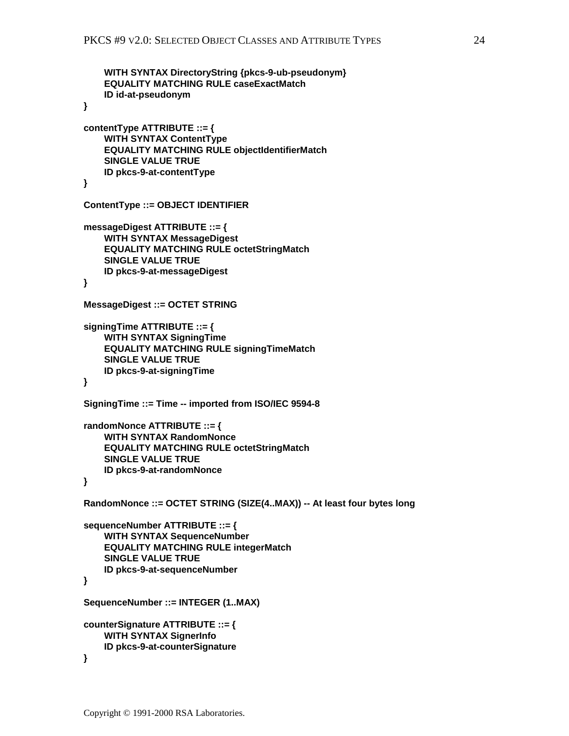```
 WITH SYNTAX DirectoryString {pkcs-9-ub-pseudonym}
     EQUALITY MATCHING RULE caseExactMatch
     ID id-at-pseudonym
}
contentType ATTRIBUTE ::= {
     WITH SYNTAX ContentType
     EQUALITY MATCHING RULE objectIdentifierMatch
     SINGLE VALUE TRUE
     ID pkcs-9-at-contentType
}
ContentType ::= OBJECT IDENTIFIER
messageDigest ATTRIBUTE ::= {
     WITH SYNTAX MessageDigest
     EQUALITY MATCHING RULE octetStringMatch
     SINGLE VALUE TRUE
     ID pkcs-9-at-messageDigest
}
MessageDigest ::= OCTET STRING
signingTime ATTRIBUTE ::= {
     WITH SYNTAX SigningTime
     EQUALITY MATCHING RULE signingTimeMatch
     SINGLE VALUE TRUE
     ID pkcs-9-at-signingTime
}
SigningTime ::= Time -- imported from ISO/IEC 9594-8
randomNonce ATTRIBUTE ::= {
     WITH SYNTAX RandomNonce
     EQUALITY MATCHING RULE octetStringMatch
     SINGLE VALUE TRUE
     ID pkcs-9-at-randomNonce
}
RandomNonce ::= OCTET STRING (SIZE(4..MAX)) -- At least four bytes long
sequenceNumber ATTRIBUTE ::= {
     WITH SYNTAX SequenceNumber
     EQUALITY MATCHING RULE integerMatch
     SINGLE VALUE TRUE
     ID pkcs-9-at-sequenceNumber
}
SequenceNumber ::= INTEGER (1..MAX)
counterSignature ATTRIBUTE ::= {
     WITH SYNTAX SignerInfo
     ID pkcs-9-at-counterSignature
}
```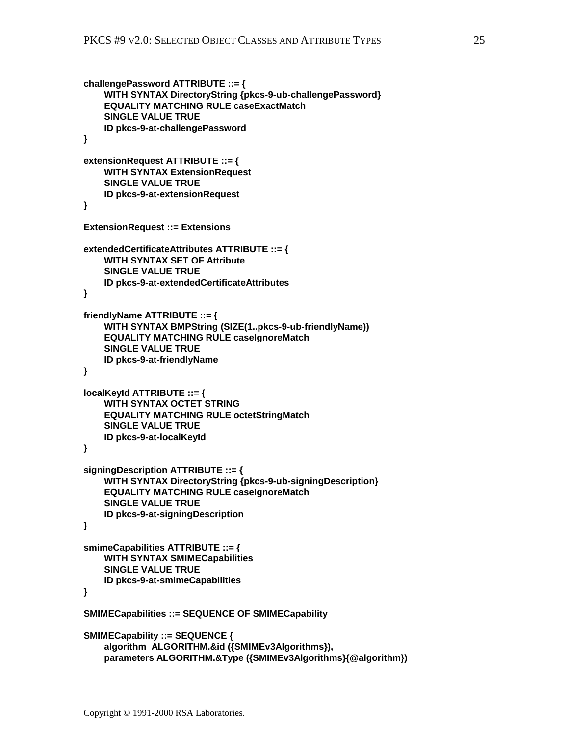```
challengePassword ATTRIBUTE ::= {
     WITH SYNTAX DirectoryString {pkcs-9-ub-challengePassword}
     EQUALITY MATCHING RULE caseExactMatch
     SINGLE VALUE TRUE
     ID pkcs-9-at-challengePassword
}
extensionRequest ATTRIBUTE ::= {
     WITH SYNTAX ExtensionRequest
     SINGLE VALUE TRUE
     ID pkcs-9-at-extensionRequest
}
ExtensionRequest ::= Extensions
extendedCertificateAttributes ATTRIBUTE ::= {
     WITH SYNTAX SET OF Attribute
     SINGLE VALUE TRUE
     ID pkcs-9-at-extendedCertificateAttributes
}
friendlyName ATTRIBUTE ::= {
     WITH SYNTAX BMPString (SIZE(1..pkcs-9-ub-friendlyName))
     EQUALITY MATCHING RULE caseIgnoreMatch
     SINGLE VALUE TRUE
     ID pkcs-9-at-friendlyName
}
localKeyId ATTRIBUTE ::= {
     WITH SYNTAX OCTET STRING
     EQUALITY MATCHING RULE octetStringMatch
     SINGLE VALUE TRUE
     ID pkcs-9-at-localKeyId
}
signingDescription ATTRIBUTE ::= {
     WITH SYNTAX DirectoryString {pkcs-9-ub-signingDescription}
     EQUALITY MATCHING RULE caseIgnoreMatch
     SINGLE VALUE TRUE
     ID pkcs-9-at-signingDescription
}
smimeCapabilities ATTRIBUTE ::= {
     WITH SYNTAX SMIMECapabilities
     SINGLE VALUE TRUE
     ID pkcs-9-at-smimeCapabilities
}
SMIMECapabilities ::= SEQUENCE OF SMIMECapability
SMIMECapability ::= SEQUENCE {
     algorithm ALGORITHM.&id ({SMIMEv3Algorithms}),
     parameters ALGORITHM.&Type ({SMIMEv3Algorithms}{@algorithm})
```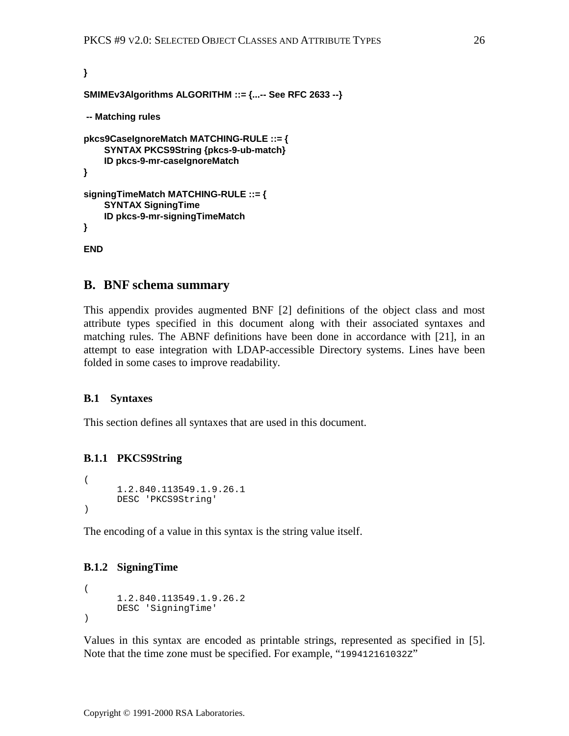```
}
SMIMEv3Algorithms ALGORITHM ::= {...-- See RFC 2633 --}
 -- Matching rules
pkcs9CaseIgnoreMatch MATCHING-RULE ::= {
     SYNTAX PKCS9String {pkcs-9-ub-match}
     ID pkcs-9-mr-caseIgnoreMatch
}
signingTimeMatch MATCHING-RULE ::= {
     SYNTAX SigningTime
     ID pkcs-9-mr-signingTimeMatch
}
```
# **END**

# **B. BNF schema summary**

This appendix provides augmented BNF [\[2\]](#page-32-0) definitions of the object class and most attribute types specified in this document along with their associated syntaxes and matching rules. The ABNF definitions have been done in accordance with [\[21\],](#page-33-0) in an attempt to ease integration with LDAP-accessible Directory systems. Lines have been folded in some cases to improve readability.

### **B.1 Syntaxes**

This section defines all syntaxes that are used in this document.

### **B.1.1 PKCS9String**

```
(
      1.2.840.113549.1.9.26.1
      DESC 'PKCS9String'
)
```
The encoding of a value in this syntax is the string value itself.

### **B.1.2 SigningTime**

```
(
      1.2.840.113549.1.9.26.2
      DESC 'SigningTime'
)
```
Values in this syntax are encoded as printable strings, represented as specified in [\[5\].](#page-32-0) Note that the time zone must be specified. For example, "199412161032Z"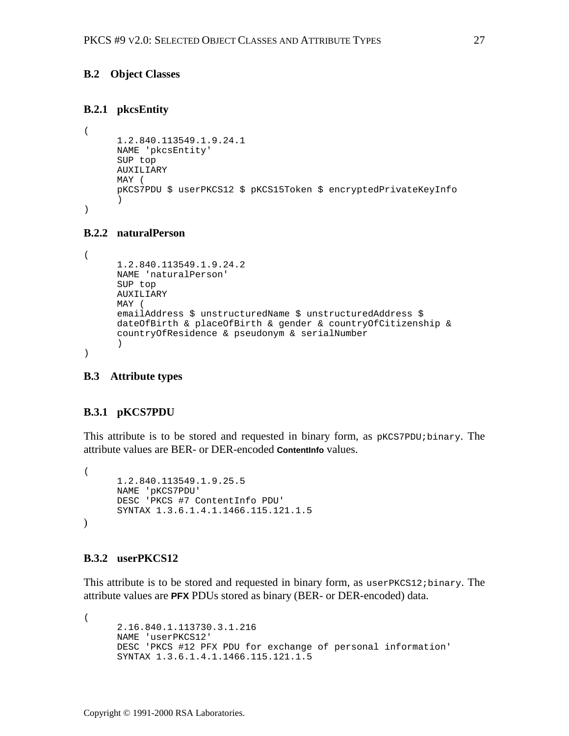### <span id="page-26-0"></span>**B.2 Object Classes**

### **B.2.1 pkcsEntity**

```
(
     1.2.840.113549.1.9.24.1
     NAME 'pkcsEntity'
     SUP top
     AUXILIARY
     MAY (
     pKCS7PDU $ userPKCS12 $ pKCS15Token $ encryptedPrivateKeyInfo
      )
)
```
### **B.2.2 naturalPerson**

```
(
     1.2.840.113549.1.9.24.2
     NAME 'naturalPerson'
     SUP top
     AUXILIARY
     MAY (
     emailAddress $ unstructuredName $ unstructuredAddress $
     dateOfBirth & placeOfBirth & gender & countryOfCitizenship &
     countryOfResidence & pseudonym & serialNumber
      )
)
```
### **B.3 Attribute types**

# **B.3.1 pKCS7PDU**

This attribute is to be stored and requested in binary form, as  $pKCS7PDU$ ; binary. The attribute values are BER- or DER-encoded **ContentInfo** values.

```
(
      1.2.840.113549.1.9.25.5
      NAME 'pKCS7PDU'
      DESC 'PKCS #7 ContentInfo PDU'
      SYNTAX 1.3.6.1.4.1.1466.115.121.1.5
\lambda
```
### **B.3.2 userPKCS12**

This attribute is to be stored and requested in binary form, as userPKCS12;binary. The attribute values are **PFX** PDUs stored as binary (BER- or DER-encoded) data.

(

```
2.16.840.1.113730.3.1.216
NAME 'userPKCS12'
DESC 'PKCS #12 PFX PDU for exchange of personal information'
SYNTAX 1.3.6.1.4.1.1466.115.121.1.5
```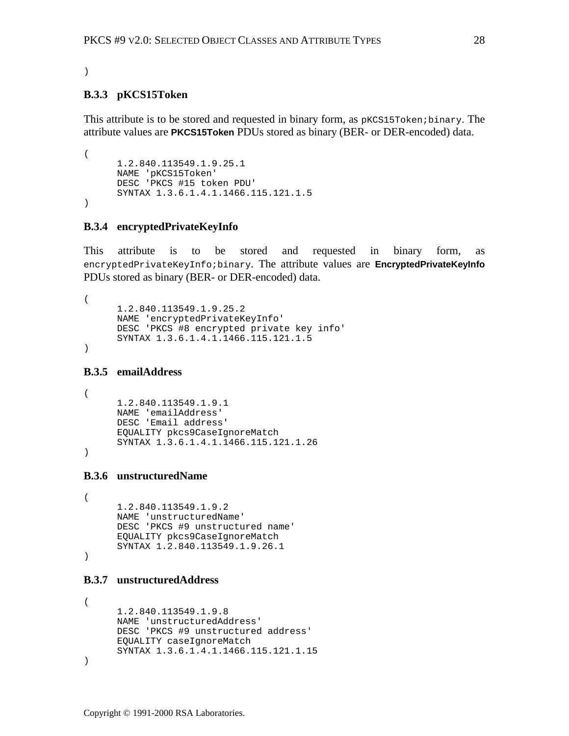#### )

#### **B.3.3 pKCS15Token**

This attribute is to be stored and requested in binary form, as pKCS15Token;binary. The attribute values are **PKCS15Token** PDUs stored as binary (BER- or DER-encoded) data.

```
(
      1.2.840.113549.1.9.25.1
     NAME 'pKCS15Token'
     DESC 'PKCS #15 token PDU'
     SYNTAX 1.3.6.1.4.1.1466.115.121.1.5
)
```
### **B.3.4 encryptedPrivateKeyInfo**

This attribute is to be stored and requested in binary form, as encryptedPrivateKeyInfo;binary. The attribute values are **EncryptedPrivateKeyInfo** PDUs stored as binary (BER- or DER-encoded) data.

```
(
     1.2.840.113549.1.9.25.2
     NAME 'encryptedPrivateKeyInfo'
     DESC 'PKCS #8 encrypted private key info'
     SYNTAX 1.3.6.1.4.1.1466.115.121.1.5
```
)

#### **B.3.5 emailAddress**

```
(
     1.2.840.113549.1.9.1
     NAME 'emailAddress'
     DESC 'Email address'
     EQUALITY pkcs9CaseIgnoreMatch
     SYNTAX 1.3.6.1.4.1.1466.115.121.1.26
)
```
### **B.3.6 unstructuredName**

```
(
     1.2.840.113549.1.9.2
     NAME 'unstructuredName'
     DESC 'PKCS #9 unstructured name'
     EQUALITY pkcs9CaseIgnoreMatch
     SYNTAX 1.2.840.113549.1.9.26.1
)
```
# **B.3.7 unstructuredAddress**

```
(
     1.2.840.113549.1.9.8
     NAME 'unstructuredAddress'
     DESC 'PKCS #9 unstructured address'
     EQUALITY caseIgnoreMatch
     SYNTAX 1.3.6.1.4.1.1466.115.121.1.15
)
```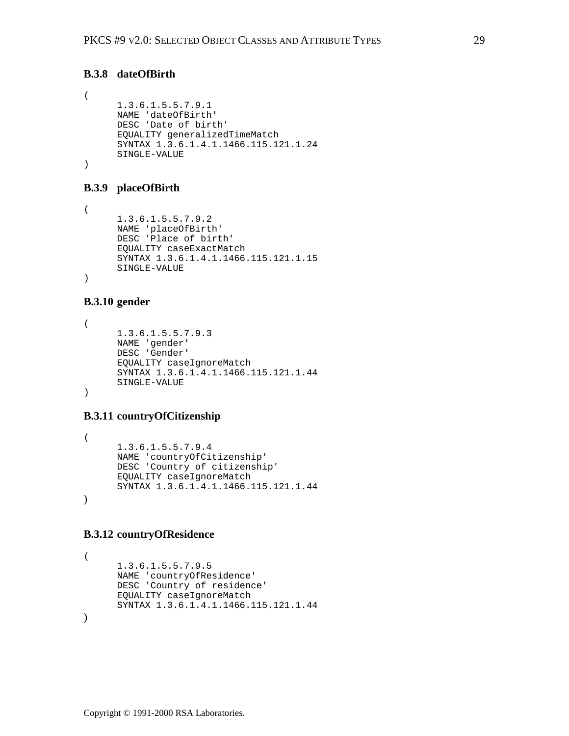### **B.3.8 dateOfBirth**

```
(
     1.3.6.1.5.5.7.9.1
     NAME 'dateOfBirth'
     DESC 'Date of birth'
     EQUALITY generalizedTimeMatch
     SYNTAX 1.3.6.1.4.1.1466.115.121.1.24
     SINGLE-VALUE
)
```
### **B.3.9 placeOfBirth**

( 1.3.6.1.5.5.7.9.2 NAME 'placeOfBirth' DESC 'Place of birth' EQUALITY caseExactMatch SYNTAX 1.3.6.1.4.1.1466.115.121.1.15 SINGLE-VALUE )

#### **B.3.10 gender**

```
(
      1.3.6.1.5.5.7.9.3
      NAME 'gender'
      DESC 'Gender'
      EQUALITY caseIgnoreMatch
      SYNTAX 1.3.6.1.4.1.1466.115.121.1.44
      SINGLE-VALUE
)
```
### **B.3.11 countryOfCitizenship**

```
(
      1.3.6.1.5.5.7.9.4
      NAME 'countryOfCitizenship'
      DESC 'Country of citizenship'
      EQUALITY caseIgnoreMatch
      SYNTAX 1.3.6.1.4.1.1466.115.121.1.44
\lambda
```
#### **B.3.12 countryOfResidence**

```
(
      1.3.6.1.5.5.7.9.5
     NAME 'countryOfResidence'
     DESC 'Country of residence'
      EQUALITY caseIgnoreMatch
      SYNTAX 1.3.6.1.4.1.1466.115.121.1.44
)
```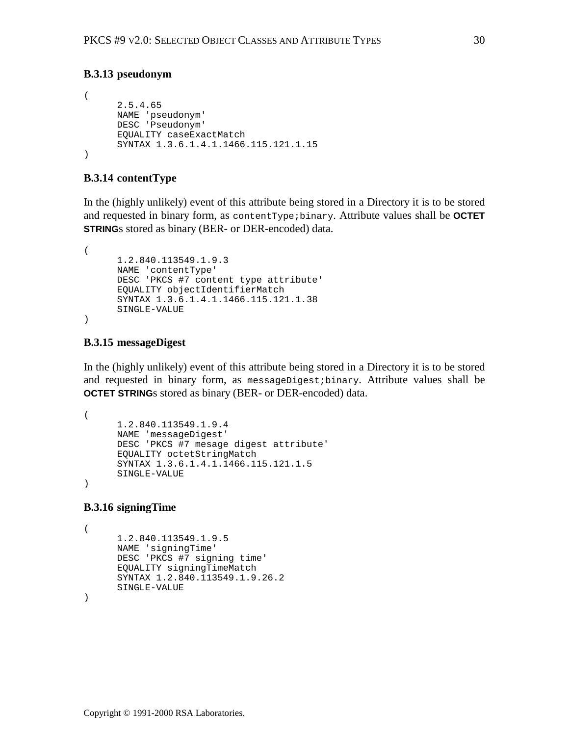### **B.3.13 pseudonym**

```
(
      2.5.4.65
     NAME 'pseudonym'
     DESC 'Pseudonym'
     EQUALITY caseExactMatch
     SYNTAX 1.3.6.1.4.1.1466.115.121.1.15
)
```
### **B.3.14 contentType**

In the (highly unlikely) event of this attribute being stored in a Directory it is to be stored and requested in binary form, as contentType;binary. Attribute values shall be **OCTET STRING**s stored as binary (BER- or DER-encoded) data.

```
(
      1.2.840.113549.1.9.3
     NAME 'contentType'
     DESC 'PKCS #7 content type attribute'
     EQUALITY objectIdentifierMatch
     SYNTAX 1.3.6.1.4.1.1466.115.121.1.38
     SINGLE-VALUE
)
```
#### **B.3.15 messageDigest**

In the (highly unlikely) event of this attribute being stored in a Directory it is to be stored and requested in binary form, as messageDigest;binary. Attribute values shall be **OCTET STRING**s stored as binary (BER- or DER-encoded) data.

```
(
     1.2.840.113549.1.9.4
     NAME 'messageDigest'
     DESC 'PKCS #7 mesage digest attribute'
     EQUALITY octetStringMatch
     SYNTAX 1.3.6.1.4.1.1466.115.121.1.5
     SINGLE-VALUE
)
```
#### **B.3.16 signingTime**

```
(
      1.2.840.113549.1.9.5
     NAME 'signingTime'
     DESC 'PKCS #7 signing time'
     EQUALITY signingTimeMatch
     SYNTAX 1.2.840.113549.1.9.26.2
     SINGLE-VALUE
```
)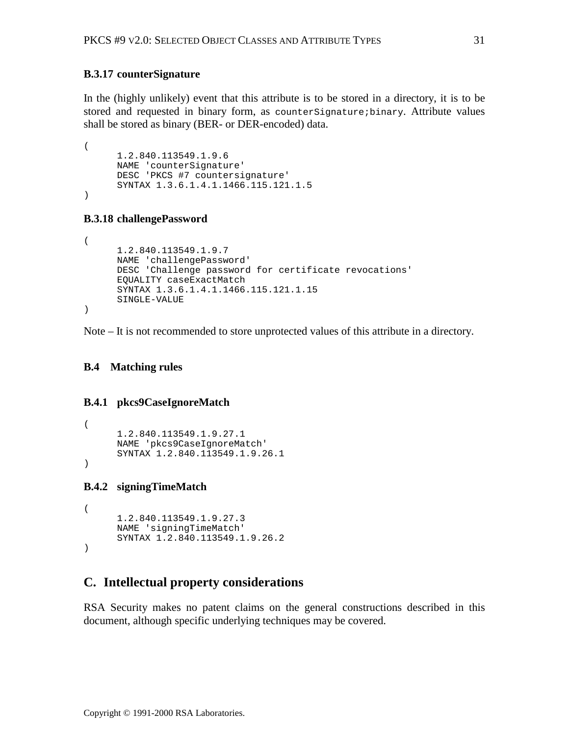### <span id="page-30-0"></span>**B.3.17 counterSignature**

In the (highly unlikely) event that this attribute is to be stored in a directory, it is to be stored and requested in binary form, as countersignature; binary. Attribute values shall be stored as binary (BER- or DER-encoded) data.

```
(
     1.2.840.113549.1.9.6
     NAME 'counterSignature'
     DESC 'PKCS #7 countersignature'
     SYNTAX 1.3.6.1.4.1.1466.115.121.1.5
)
```
### **B.3.18 challengePassword**

```
(
     1.2.840.113549.1.9.7
     NAME 'challengePassword'
     DESC 'Challenge password for certificate revocations'
     EQUALITY caseExactMatch
     SYNTAX 1.3.6.1.4.1.1466.115.121.1.15
     SINGLE-VALUE
)
```
Note – It is not recommended to store unprotected values of this attribute in a directory.

### **B.4 Matching rules**

### **B.4.1 pkcs9CaseIgnoreMatch**

```
(
     1.2.840.113549.1.9.27.1
     NAME 'pkcs9CaseIgnoreMatch'
     SYNTAX 1.2.840.113549.1.9.26.1
)
```
### **B.4.2 signingTimeMatch**

```
(
     1.2.840.113549.1.9.27.3
     NAME 'signingTimeMatch'
     SYNTAX 1.2.840.113549.1.9.26.2
)
```
# **C. Intellectual property considerations**

RSA Security makes no patent claims on the general constructions described in this document, although specific underlying techniques may be covered.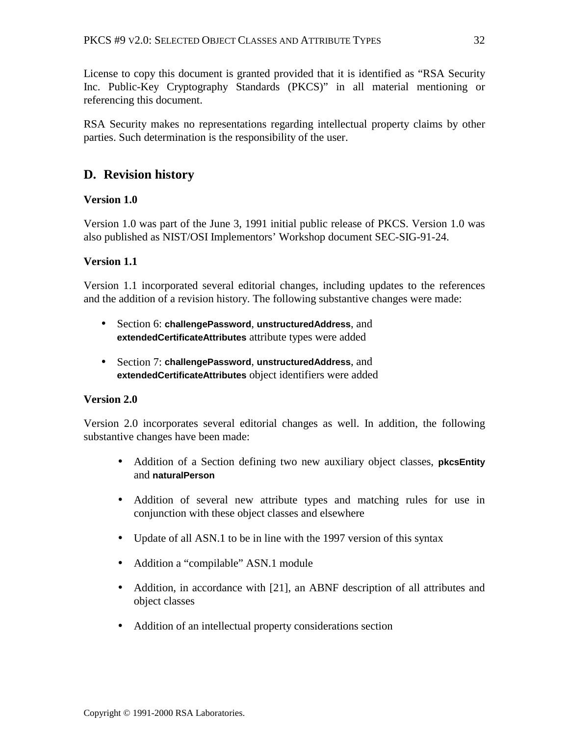<span id="page-31-0"></span>License to copy this document is granted provided that it is identified as "RSA Security Inc. Public-Key Cryptography Standards (PKCS)" in all material mentioning or referencing this document.

RSA Security makes no representations regarding intellectual property claims by other parties. Such determination is the responsibility of the user.

# **D. Revision history**

# **Version 1.0**

Version 1.0 was part of the June 3, 1991 initial public release of PKCS. Version 1.0 was also published as NIST/OSI Implementors' Workshop document SEC-SIG-91-24.

# **Version 1.1**

Version 1.1 incorporated several editorial changes, including updates to the references and the addition of a revision history. The following substantive changes were made:

- Section 6: **challengePassword**, **unstructuredAddress**, and **extendedCertificateAttributes** attribute types were added
- Section 7: **challengePassword**, **unstructuredAddress**, and **extendedCertificateAttributes** object identifiers were added

# **Version 2.0**

Version 2.0 incorporates several editorial changes as well. In addition, the following substantive changes have been made:

- Addition of a Section defining two new auxiliary object classes, **pkcsEntity** and **naturalPerson**
- Addition of several new attribute types and matching rules for use in conjunction with these object classes and elsewhere
- Update of all ASN.1 to be in line with the 1997 version of this syntax
- Addition a "compilable" ASN.1 module
- Addition, in accordance with [\[21\],](#page-33-0) an ABNF description of all attributes and object classes
- Addition of an intellectual property considerations section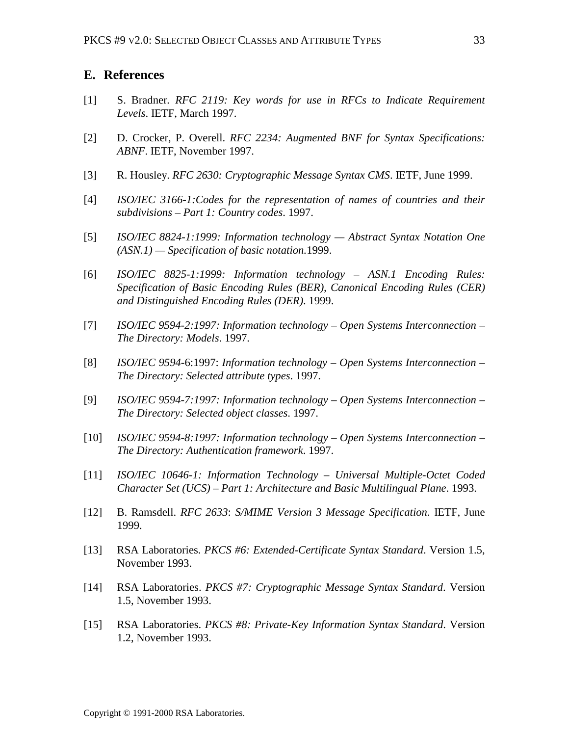### <span id="page-32-0"></span>**E. References**

- [1] S. Bradner*. RFC 2119: Key words for use in RFCs to Indicate Requirement Levels*. IETF, March 1997.
- [2] D. Crocker, P. Overell. *RFC 2234: Augmented BNF for Syntax Specifications: ABNF*. IETF, November 1997.
- [3] R. Housley. *RFC 2630: Cryptographic Message Syntax CMS*. IETF, June 1999.
- [4] *ISO/IEC 3166-1:Codes for the representation of names of countries and their subdivisions – Part 1: Country codes*. 1997.
- [5] *ISO/IEC 8824-1:1999: Information technology Abstract Syntax Notation One (ASN.1) — Specification of basic notation.*1999.
- [6] *ISO/IEC 8825-1:1999: Information technology ASN.1 Encoding Rules: Specification of Basic Encoding Rules (BER), Canonical Encoding Rules (CER) and Distinguished Encoding Rules (DER)*. 1999.
- [7] *ISO/IEC 9594-2:1997: Information technology Open Systems Interconnection – The Directory: Models*. 1997.
- [8] *ISO/IEC 9594*-6:1997: *Information technology Open Systems Interconnection – The Directory: Selected attribute types*. 1997.
- [9] *ISO/IEC 9594-7:1997: Information technology Open Systems Interconnection – The Directory: Selected object classes*. 1997.
- [10] *ISO/IEC 9594-8:1997: Information technology Open Systems Interconnection – The Directory: Authentication framework*. 1997.
- [11] *ISO/IEC 10646-1: Information Technology Universal Multiple-Octet Coded Character Set (UCS) – Part 1: Architecture and Basic Multilingual Plane*. 1993.
- [12] B. Ramsdell. *RFC 2633*: *S/MIME Version 3 Message Specification*. IETF, June 1999.
- [13] RSA Laboratories. *PKCS #6: Extended-Certificate Syntax Standard*. Version 1.5, November 1993.
- [14] RSA Laboratories. *PKCS #7: Cryptographic Message Syntax Standard*. Version 1.5, November 1993.
- [15] RSA Laboratories. *PKCS #8: Private-Key Information Syntax Standard*. Version 1.2, November 1993.